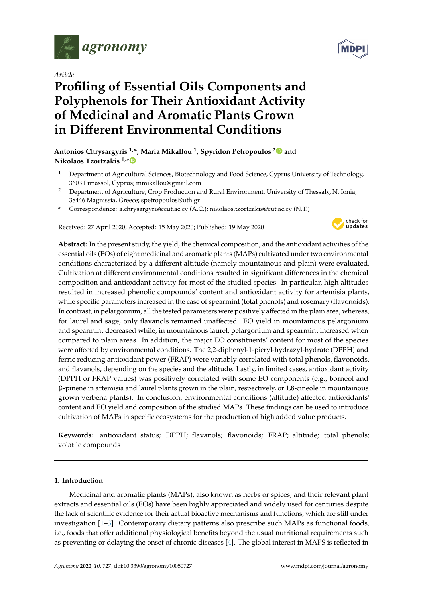

*Article*

# **Profiling of Essential Oils Components and Polyphenols for Their Antioxidant Activity of Medicinal and Aromatic Plants Grown in Di**ff**erent Environmental Conditions**

# **Antonios Chrysargyris 1,\*, Maria Mikallou <sup>1</sup> , Spyridon Petropoulos [2](https://orcid.org/0000-0002-0324-7960) and Nikolaos Tzortzakis 1,[\\*](https://orcid.org/0000-0002-2719-6627)**

- <sup>1</sup> Department of Agricultural Sciences, Biotechnology and Food Science, Cyprus University of Technology, 3603 Limassol, Cyprus; mmikallou@gmail.com
- <sup>2</sup> Department of Agriculture, Crop Production and Rural Environment, University of Thessaly, N. Ionia, 38446 Magnissia, Greece; spetropoulos@uth.gr
- **\*** Correspondence: a.chrysargyris@cut.ac.cy (A.C.); nikolaos.tzortzakis@cut.ac.cy (N.T.)

Received: 27 April 2020; Accepted: 15 May 2020; Published: 19 May 2020



**Abstract:** In the present study, the yield, the chemical composition, and the antioxidant activities of the essential oils (EOs) of eight medicinal and aromatic plants (MAPs) cultivated under two environmental conditions characterized by a different altitude (namely mountainous and plain) were evaluated. Cultivation at different environmental conditions resulted in significant differences in the chemical composition and antioxidant activity for most of the studied species. In particular, high altitudes resulted in increased phenolic compounds' content and antioxidant activity for artemisia plants, while specific parameters increased in the case of spearmint (total phenols) and rosemary (flavonoids). In contrast, in pelargonium, all the tested parameters were positively affected in the plain area, whereas, for laurel and sage, only flavanols remained unaffected. EO yield in mountainous pelargonium and spearmint decreased while, in mountainous laurel, pelargonium and spearmint increased when compared to plain areas. In addition, the major EO constituents' content for most of the species were affected by environmental conditions. The 2,2-diphenyl-1-picryl-hydrazyl-hydrate (DPPH) and ferric reducing antioxidant power (FRAP) were variably correlated with total phenols, flavonoids, and flavanols, depending on the species and the altitude. Lastly, in limited cases, antioxidant activity (DPPH or FRAP values) was positively correlated with some EO components (e.g., borneol and β-pinene in artemisia and laurel plants grown in the plain, respectively, or 1,8-cineole in mountainous grown verbena plants). In conclusion, environmental conditions (altitude) affected antioxidants' content and EO yield and composition of the studied MAPs. These findings can be used to introduce cultivation of MAPs in specific ecosystems for the production of high added value products.

**Keywords:** antioxidant status; DPPH; flavanols; flavonoids; FRAP; altitude; total phenols; volatile compounds

# **1. Introduction**

Medicinal and aromatic plants (MAPs), also known as herbs or spices, and their relevant plant extracts and essential oils (EOs) have been highly appreciated and widely used for centuries despite the lack of scientific evidence for their actual bioactive mechanisms and functions, which are still under investigation [\[1](#page-20-0)[–3\]](#page-20-1). Contemporary dietary patterns also prescribe such MAPs as functional foods, i.e., foods that offer additional physiological benefits beyond the usual nutritional requirements such as preventing or delaying the onset of chronic diseases [\[4\]](#page-20-2). The global interest in MAPS is reflected in

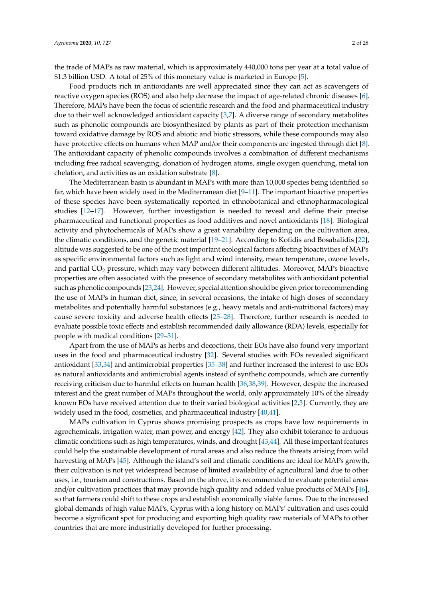the trade of MAPs as raw material, which is approximately 440,000 tons per year at a total value of \$1.3 billion USD. A total of 25% of this monetary value is marketed in Europe [\[5\]](#page-20-3).

Food products rich in antioxidants are well appreciated since they can act as scavengers of reactive oxygen species (ROS) and also help decrease the impact of age-related chronic diseases [\[6\]](#page-20-4). Therefore, MAPs have been the focus of scientific research and the food and pharmaceutical industry due to their well acknowledged antioxidant capacity [\[3](#page-20-1)[,7\]](#page-20-5). A diverse range of secondary metabolites such as phenolic compounds are biosynthesized by plants as part of their protection mechanism toward oxidative damage by ROS and abiotic and biotic stressors, while these compounds may also have protective effects on humans when MAP and/or their components are ingested through diet [\[8\]](#page-20-6). The antioxidant capacity of phenolic compounds involves a combination of different mechanisms including free radical scavenging, donation of hydrogen atoms, single oxygen quenching, metal ion chelation, and activities as an oxidation substrate [\[8\]](#page-20-6).

The Mediterranean basin is abundant in MAPs with more than 10,000 species being identified so far, which have been widely used in the Mediterranean diet [\[9](#page-20-7)[–11\]](#page-20-8). The important bioactive properties of these species have been systematically reported in ethnobotanical and ethnopharmacological studies [\[12–](#page-20-9)[17\]](#page-21-0). However, further investigation is needed to reveal and define their precise pharmaceutical and functional properties as food additives and novel antioxidants [\[18\]](#page-21-1). Biological activity and phytochemicals of MAPs show a great variability depending on the cultivation area, the climatic conditions, and the genetic material [\[19–](#page-21-2)[21\]](#page-21-3). According to Kofidis and Bosabalidis [\[22\]](#page-21-4), altitude was suggested to be one of the most important ecological factors affecting bioactivities of MAPs as specific environmental factors such as light and wind intensity, mean temperature, ozone levels, and partial CO<sub>2</sub> pressure, which may vary between different altitudes. Moreover, MAPs bioactive properties are often associated with the presence of secondary metabolites with antioxidant potential such as phenolic compounds [\[23](#page-21-5)[,24\]](#page-21-6). However, special attention should be given prior to recommending the use of MAPs in human diet, since, in several occasions, the intake of high doses of secondary metabolites and potentially harmful substances (e.g., heavy metals and anti-nutritional factors) may cause severe toxicity and adverse health effects [\[25–](#page-21-7)[28\]](#page-21-8). Therefore, further research is needed to evaluate possible toxic effects and establish recommended daily allowance (RDA) levels, especially for people with medical conditions [\[29–](#page-21-9)[31\]](#page-21-10).

Apart from the use of MAPs as herbs and decoctions, their EOs have also found very important uses in the food and pharmaceutical industry [\[32\]](#page-21-11). Several studies with EOs revealed significant antioxidant [\[33](#page-21-12)[,34\]](#page-21-13) and antimicrobial properties [\[35](#page-22-0)[–38\]](#page-22-1) and further increased the interest to use EOs as natural antioxidants and antimicrobial agents instead of synthetic compounds, which are currently receiving criticism due to harmful effects on human health [\[36,](#page-22-2)[38,](#page-22-1)[39\]](#page-22-3). However, despite the increased interest and the great number of MAPs throughout the world, only approximately 10% of the already known EOs have received attention due to their varied biological activities [\[2](#page-20-10)[,3\]](#page-20-1). Currently, they are widely used in the food, cosmetics, and pharmaceutical industry [\[40](#page-22-4)[,41\]](#page-22-5).

MAPs cultivation in Cyprus shows promising prospects as crops have low requirements in agrochemicals, irrigation water, man power, and energy [\[42\]](#page-22-6). They also exhibit tolerance to arduous climatic conditions such as high temperatures, winds, and drought [\[43](#page-22-7)[,44\]](#page-22-8). All these important features could help the sustainable development of rural areas and also reduce the threats arising from wild harvesting of MAPs [\[45\]](#page-22-9). Although the island's soil and climatic conditions are ideal for MAPs growth, their cultivation is not yet widespread because of limited availability of agricultural land due to other uses, i.e., tourism and constructions. Based on the above, it is recommended to evaluate potential areas and/or cultivation practices that may provide high quality and added value products of MAPs [\[46\]](#page-22-10), so that farmers could shift to these crops and establish economically viable farms. Due to the increased global demands of high value MAPs, Cyprus with a long history on MAPs' cultivation and uses could become a significant spot for producing and exporting high quality raw materials of MAPs to other countries that are more industrially developed for further processing.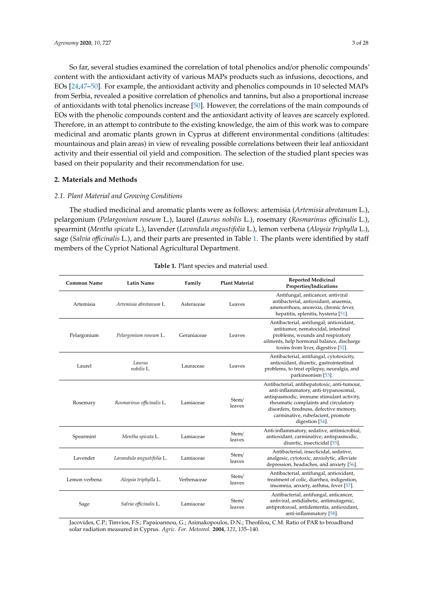So far, several studies examined the correlation of total phenolics and/or phenolic compounds' content with the antioxidant activity of various MAPs products such as infusions, decoctions, and EOs [\[24](#page-21-6)[,47–](#page-22-11)[50\]](#page-22-12). For example, the antioxidant activity and phenolics compounds in 10 selected MAPs from Serbia, revealed a positive correlation of phenolics and tannins, but also a proportional increase of antioxidants with total phenolics increase [\[50\]](#page-22-12). However, the correlations of the main compounds of EOs with the phenolic compounds content and the antioxidant activity of leaves are scarcely explored. Therefore, in an attempt to contribute to the existing knowledge, the aim of this work was to compare medicinal and aromatic plants grown in Cyprus at different environmental conditions (altitudes: mountainous and plain areas) in view of revealing possible correlations between their leaf antioxidant activity and their essential oil yield and composition. The selection of the studied plant species was based on their popularity and their recommendation for use.

# **2. Materials and Methods**

# *2.1. Plant Material and Growing Conditions*

The studied medicinal and aromatic plants were as follows: artemisia (*Artemisia abrotanum* L.), pelargonium (*Pelargonium roseum* L.), laurel (*Laurus nobilis* L.), rosemary (*Rosmarinus o*ffi*cinalis* L.), spearmint (*Mentha spicata* L.), lavender (*Lavandula angustifolia* L.), lemon verbena (*Aloysia triphylla* L.), sage (*Salvia o*ffi*cinalis* L.), and their parts are presented in Table [1.](#page-2-0) The plants were identified by staff members of the Cypriot National Agricultural Department.

<span id="page-2-0"></span>

| <b>Common Name</b> | <b>Latin Name</b>         | Family      | <b>Plant Material</b> | <b>Reported Medicinal</b><br>Properties/Indications                                                                                                                                                                                                                              |
|--------------------|---------------------------|-------------|-----------------------|----------------------------------------------------------------------------------------------------------------------------------------------------------------------------------------------------------------------------------------------------------------------------------|
| Artemisia          | Artemisia abrotanum L.    | Asteraceae  | Leaves                | Antifungal, anticancer, antiviral<br>antibacterial, antioxidant, anaemia,<br>amenorrhoea, anorexia, chronic fever,<br>hepatitis, splenitis, hysteria [51].                                                                                                                       |
| Pelargonium        | Pelargonium roseum L.     | Geraniaceae | Leaves                | Antibacterial, antifungal, antioxidant,<br>antitumor, nematocidal, intestinal<br>problems, wounds and respiratory<br>ailments, help hormonal balance, discharge<br>toxins from liver, digestive [52].                                                                            |
| Laurel             | Laurus<br>nobilis L.      | Lauraceae   | Leaves                | Antibacterial, antifungal, cytotoxicity,<br>antioxidant, diuretic, gastrointestinal<br>problems, to treat epilepsy, neuralgia, and<br>parkinsonism [53].                                                                                                                         |
| Rosemary           | Rosmarinus officinalis L. | Lamiaceae   | Stem/<br>leaves       | Antibacterial, antihepatotoxic, anti-tumour,<br>anti-inflammatory, anti-trypanosomal,<br>antispasmodic, immune stimulant activity,<br>rheumatic complaints and circulatory<br>disorders, tiredness, defective memory,<br>carminative, rubefacient, promote<br>digestion $[54]$ . |
| Spearmint          | Mentha spicata L.         | Lamiaceae   | Stem/<br>leaves       | Anti-inflammatory, sedative, antimicrobial,<br>antioxidant, carminative, antispasmodic,<br>diuretic, insecticidal [55].                                                                                                                                                          |
| Lavender           | Lavandula angustifolia L. | Lamiaceae   | Stem/<br>leaves       | Antibacterial, insecticidal, sedative,<br>analgesic, cytotoxic, anxiolytic, alleviate<br>depression, headaches, and anxiety [56].                                                                                                                                                |
| Lemon verbena      | Aloysia triphylla L.      | Verbenaceae | Stem/<br>leaves       | Antibacterial, antifungal, antioxidant,<br>treatment of colic, diarrhea, indigestion,<br>insomnia, anxiety, asthma, fever [57].                                                                                                                                                  |
| Sage               | Salvia officinalis L.     | Lamiaceae   | Stem/<br>leaves       | Antibacterial, antifungal, anticancer,<br>antiviral, antidiabetic, antimutagenic,<br>antiprotozoal, antidementia, antioxidant,<br>anti-inflammatory [58].                                                                                                                        |

|  |  |  |  | Table 1. Plant species and material used. |  |
|--|--|--|--|-------------------------------------------|--|
|--|--|--|--|-------------------------------------------|--|

Jacovides, C.P.; Timvios, F.S.; Papaioannou, G.; Asimakopoulos, D.N.; Theofilou, C.M. Ratio of PAR to broadband solar radiation measured in Cyprus. *Agric. For. Meteorol.* **2004**, *121*, 135–140.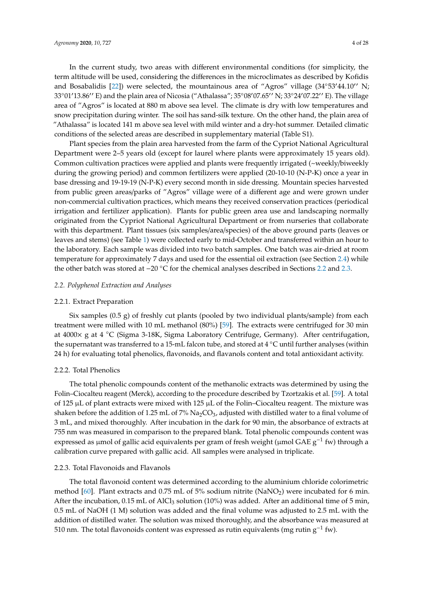In the current study, two areas with different environmental conditions (for simplicity, the term altitude will be used, considering the differences in the microclimates as described by Kofidis and Bosabalidis [\[22\]](#page-21-4)) were selected, the mountainous area of "Agros" village  $(34°53'44.10''$  N; 33°01'13.86'' E) and the plain area of Nicosia ("Athalassa"; 35°08'07.65'' N; 33°24'07.22'' E). The village area of "Agros" is located at 880 m above sea level. The climate is dry with low temperatures and snow precipitation during winter. The soil has sand-silk texture. On the other hand, the plain area of "Athalassa" is located 141 m above sea level with mild winter and a dry-hot summer. Detailed climatic conditions of the selected areas are described in supplementary material (Table S1).

Plant species from the plain area harvested from the farm of the Cypriot National Agricultural Department were 2–5 years old (except for laurel where plants were approximately 15 years old). Common cultivation practices were applied and plants were frequently irrigated (~weekly/biweekly during the growing period) and common fertilizers were applied (20-10-10 (N-P-K) once a year in base dressing and 19-19-19 (N-P-K) every second month in side dressing. Mountain species harvested from public green areas/parks of "Agros" village were of a different age and were grown under non-commercial cultivation practices, which means they received conservation practices (periodical irrigation and fertilizer application). Plants for public green area use and landscaping normally originated from the Cypriot National Agricultural Department or from nurseries that collaborate with this department. Plant tissues (six samples/area/species) of the above ground parts (leaves or leaves and stems) (see Table [1\)](#page-2-0) were collected early to mid-October and transferred within an hour to the laboratory. Each sample was divided into two batch samples. One batch was air-dried at room temperature for approximately 7 days and used for the essential oil extraction (see Section [2.4\)](#page-4-0) while the other batch was stored at −20 ◦C for the chemical analyses described in Sections [2.2](#page-3-0) and [2.3.](#page-4-1)

#### <span id="page-3-0"></span>*2.2. Polyphenol Extraction and Analyses*

#### 2.2.1. Extract Preparation

Six samples (0.5 g) of freshly cut plants (pooled by two individual plants/sample) from each treatment were milled with 10 mL methanol (80%) [\[59\]](#page-23-1). The extracts were centrifuged for 30 min at 4000× g at 4 ◦C (Sigma 3-18K, Sigma Laboratory Centrifuge, Germany). After centrifugation, the supernatant was transferred to a 15-mL falcon tube, and stored at 4  $°C$  until further analyses (within 24 h) for evaluating total phenolics, flavonoids, and flavanols content and total antioxidant activity.

#### 2.2.2. Total Phenolics

The total phenolic compounds content of the methanolic extracts was determined by using the Folin–Ciocalteu reagent (Merck), according to the procedure described by Tzortzakis et al. [\[59\]](#page-23-1). A total of 125  $\mu$ L of plant extracts were mixed with 125  $\mu$ L of the Folin–Ciocalteu reagent. The mixture was shaken before the addition of 1.25 mL of 7%  $Na_2CO_3$ , adjusted with distilled water to a final volume of 3 mL, and mixed thoroughly. After incubation in the dark for 90 min, the absorbance of extracts at 755 nm was measured in comparison to the prepared blank. Total phenolic compounds content was expressed as µmol of gallic acid equivalents per gram of fresh weight (µmol GAE g<sup>-1</sup> fw) through a calibration curve prepared with gallic acid. All samples were analysed in triplicate.

#### 2.2.3. Total Flavonoids and Flavanols

The total flavonoid content was determined according to the aluminium chloride colorimetric method [\[60\]](#page-23-2). Plant extracts and 0.75 mL of 5% sodium nitrite (NaNO<sub>2</sub>) were incubated for 6 min. After the incubation, 0.15 mL of AlCl<sub>3</sub> solution (10%) was added. After an additional time of 5 min, 0.5 mL of NaOH (1 M) solution was added and the final volume was adjusted to 2.5 mL with the addition of distilled water. The solution was mixed thoroughly, and the absorbance was measured at 510 nm. The total flavonoids content was expressed as rutin equivalents (mg rutin  $g^{-1}$  fw).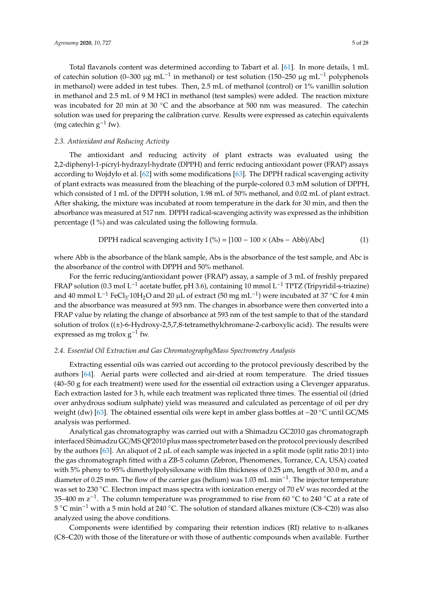Total flavanols content was determined according to Tabart et al. [\[61\]](#page-23-3). In more details, 1 mL of catechin solution (0–300 µg mL−<sup>1</sup> in methanol) or test solution (150–250 µg mL−<sup>1</sup> polyphenols in methanol) were added in test tubes. Then, 2.5 mL of methanol (control) or 1% vanillin solution in methanol and 2.5 mL of 9 M HCl in methanol (test samples) were added. The reaction mixture was incubated for 20 min at 30 ◦C and the absorbance at 500 nm was measured. The catechin solution was used for preparing the calibration curve. Results were expressed as catechin equivalents (mg catechin  $g^{-1}$  fw).

## <span id="page-4-1"></span>*2.3. Antioxidant and Reducing Activity*

The antioxidant and reducing activity of plant extracts was evaluated using the 2,2-diphenyl-1-picryl-hydrazyl-hydrate (DPPH) and ferric reducing antioxidant power (FRAP) assays according to Wojdyło et al. [\[62\]](#page-23-4) with some modifications [\[63\]](#page-23-5). The DPPH radical scavenging activity of plant extracts was measured from the bleaching of the purple-colored 0.3 mM solution of DPPH, which consisted of 1 mL of the DPPH solution, 1.98 mL of 50% methanol, and 0.02 mL of plant extract. After shaking, the mixture was incubated at room temperature in the dark for 30 min, and then the absorbance was measured at 517 nm. DPPH radical-scavenging activity was expressed as the inhibition percentage (I %) and was calculated using the following formula.

$$
DPPH \text{ radical scavenging activity I } (\%) = [100 - 100 \times (Abs - Abb)/Abc] \tag{1}
$$

where Abb is the absorbance of the blank sample, Abs is the absorbance of the test sample, and Abc is the absorbance of the control with DPPH and 50% methanol.

For the ferric reducing/antioxidant power (FRAP) assay, a sample of 3 mL of freshly prepared FRAP solution (0.3 mol L−<sup>1</sup> acetate buffer, pH 3.6), containing 10 mmol L−<sup>1</sup> TPTZ (Tripyridil-s-triazine) and 40 mmol L<sup>-1</sup> FeCl<sub>3</sub>·10H<sub>2</sub>O and 20 µL of extract (50 mg mL<sup>-1</sup>) were incubated at 37 °C for 4 min and the absorbance was measured at 593 nm. The changes in absorbance were then converted into a FRAP value by relating the change of absorbance at 593 nm of the test sample to that of the standard solution of trolox  $((\pm)$ -6-Hydroxy-2,5,7,8-tetramethylchromane-2-carboxylic acid). The results were expressed as mg trolox  $g^{-1}$  fw.

#### <span id="page-4-0"></span>*2.4. Essential Oil Extraction and Gas Chromatography*/*Mass Spectrometry Analysis*

Extracting essential oils was carried out according to the protocol previously described by the authors [\[64\]](#page-23-6). Aerial parts were collected and air-dried at room temperature. The dried tissues (40–50 g for each treatment) were used for the essential oil extraction using a Clevenger apparatus. Each extraction lasted for 3 h, while each treatment was replicated three times. The essential oil (dried over anhydrous sodium sulphate) yield was measured and calculated as percentage of oil per dry weight (dw) [\[63\]](#page-23-5). The obtained essential oils were kept in amber glass bottles at −20 ◦C until GC/MS analysis was performed.

Analytical gas chromatography was carried out with a Shimadzu GC2010 gas chromatograph interfaced Shimadzu GC/MS QP2010 plus mass spectrometer based on the protocol previously described by the authors [\[63\]](#page-23-5). An aliquot of 2  $\mu$ L of each sample was injected in a split mode (split ratio 20:1) into the gas chromatograph fitted with a ZB-5 column (Zebron, Phenomenex, Torrance, CA, USA) coated with 5% pheny to 95% dimethylpolysiloxane with film thickness of 0.25  $\mu$ m, length of 30.0 m, and a diameter of 0.25 mm. The flow of the carrier gas (helium) was 1.03 mL min−<sup>1</sup> . The injector temperature was set to 230 ℃. Electron impact mass spectra with ionization energy of 70 eV was recorded at the 35–400 m z−<sup>1</sup> . The column temperature was programmed to rise from 60 ◦C to 240 ◦C at a rate of 5 ◦C min−<sup>1</sup> with a 5 min hold at 240 ◦C. The solution of standard alkanes mixture (C8–C20) was also analyzed using the above conditions.

Components were identified by comparing their retention indices (RI) relative to n-alkanes (C8–C20) with those of the literature or with those of authentic compounds when available. Further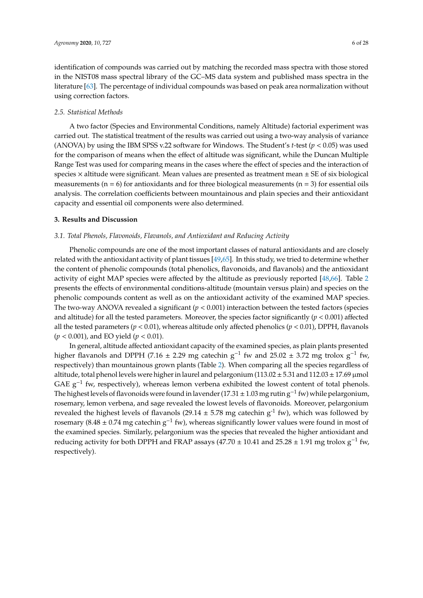identification of compounds was carried out by matching the recorded mass spectra with those stored in the NIST08 mass spectral library of the GC–MS data system and published mass spectra in the literature [\[63\]](#page-23-5). The percentage of individual compounds was based on peak area normalization without using correction factors.

#### *2.5. Statistical Methods*

A two factor (Species and Environmental Conditions, namely Altitude) factorial experiment was carried out. The statistical treatment of the results was carried out using a two-way analysis of variance (ANOVA) by using the IBM SPSS v.22 software for Windows. The Student's *t-*test (*p* < 0.05) was used for the comparison of means when the effect of altitude was significant, while the Duncan Multiple Range Test was used for comparing means in the cases where the effect of species and the interaction of species  $\times$  altitude were significant. Mean values are presented as treatment mean  $\pm$  SE of six biological measurements ( $n = 6$ ) for antioxidants and for three biological measurements ( $n = 3$ ) for essential oils analysis. The correlation coefficients between mountainous and plain species and their antioxidant capacity and essential oil components were also determined.

#### **3. Results and Discussion**

#### *3.1. Total Phenols, Flavonoids, Flavanols, and Antioxidant and Reducing Activity*

Phenolic compounds are one of the most important classes of natural antioxidants and are closely related with the antioxidant activity of plant tissues [\[49,](#page-22-20)[65\]](#page-23-7). In this study, we tried to determine whether the content of phenolic compounds (total phenolics, flavonoids, and flavanols) and the antioxidant activity of eight MAP species were affected by the altitude as previously reported [\[48](#page-22-21)[,66\]](#page-23-8). Table [2](#page-6-0) presents the effects of environmental conditions-altitude (mountain versus plain) and species on the phenolic compounds content as well as on the antioxidant activity of the examined MAP species. The two-way ANOVA revealed a significant  $(p < 0.001)$  interaction between the tested factors (species and altitude) for all the tested parameters. Moreover, the species factor significantly (*p* < 0.001) affected all the tested parameters ( $p < 0.01$ ), whereas altitude only affected phenolics ( $p < 0.01$ ), DPPH, flavanols (*p* < 0.001), and EO yield (*p* < 0.01).

In general, altitude affected antioxidant capacity of the examined species, as plain plants presented higher flavanols and DPPH (7.16 ± 2.29 mg catechin  $g^{-1}$  fw and 25.02 ± 3.72 mg trolox  $g^{-1}$  fw, respectively) than mountainous grown plants (Table [2\)](#page-6-0). When comparing all the species regardless of altitude, total phenol levels were higher in laurel and pelargonium ( $113.02 \pm 5.31$  and  $112.03 \pm 17.69$  µmol GAE g<sup>-1</sup> fw, respectively), whereas lemon verbena exhibited the lowest content of total phenols. The highest levels of flavonoids were found in lavender (17.31 ± 1.03 mg rutin g<sup>-1</sup> fw) while pelargonium, rosemary, lemon verbena, and sage revealed the lowest levels of flavonoids. Moreover, pelargonium revealed the highest levels of flavanols (29.14  $\pm$  5.78 mg catechin g<sup>-1</sup> fw), which was followed by rosemary (8.48 ± 0.74 mg catechin  $g^{-1}$  fw), whereas significantly lower values were found in most of the examined species. Similarly, pelargonium was the species that revealed the higher antioxidant and reducing activity for both DPPH and FRAP assays ( $47.70 \pm 10.41$  and  $25.28 \pm 1.91$  mg trolox  $g^{-1}$  fw, respectively).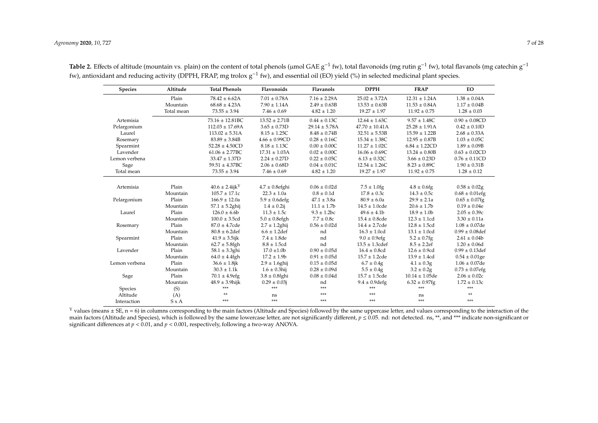| <b>Species</b> | Altitude     | <b>Total Phenols</b>            | Flavonoids          | Flavanols          | <b>DPPH</b>         | <b>FRAP</b>         | EO                  |
|----------------|--------------|---------------------------------|---------------------|--------------------|---------------------|---------------------|---------------------|
|                | Plain        | $78.42 \pm 6.62$ A              | $7.01 \pm 0.78$ A   | $7.16 \pm 2.29$ A  | $25.02 \pm 3.72$ A  | $12.31 \pm 1.24A$   | $1.38 \pm 0.04$ A   |
|                | Mountain     | $68.68 \pm 4.23$ A              | $7.90 \pm 1.14$ A   | $2.49 \pm 0.63B$   | $13.53 \pm 0.63B$   | $11.53 \pm 0.84$ A  | $1.17 \pm 0.04B$    |
|                | Total mean   | $73.55 \pm 3.94$                | $7.46 \pm 0.69$     | $4.82 \pm 1.20$    | $19.27 \pm 1.97$    | $11.92 \pm 0.75$    | $1.28 \pm 0.03$     |
| Artemisia      |              | $73.16 \pm 12.81BC$             | $13.52 \pm 2.71B$   | $0.44 \pm 0.13C$   | $12.64 \pm 1.63C$   | $9.57 \pm 1.48C$    | $0.90 \pm 0.08CD$   |
| Pelargonium    |              | $112.03 \pm 17.69$ A            | $3.65 \pm 0.73D$    | $29.14 \pm 5.78$ A | $47.70 \pm 10.41$ A | $25.28 \pm 1.91$ A  | $0.42 \pm 0.10D$    |
| Laurel         |              | $113.02 \pm 5.31$ A             | $8.15 \pm 1.25C$    | $8.48 \pm 0.74B$   | $32.51 \pm 5.53B$   | $15.59 \pm 1.22B$   | $2.68 \pm 0.33$ A   |
| Rosemary       |              | $83.89 \pm 3.84B$               | $4.66 \pm 0.99CD$   | $0.28 \pm 0.16C$   | $15.34 \pm 1.38C$   | $12.95 \pm 0.87B$   | $1.03 \pm 0.05C$    |
| Spearmint      |              | $52.28 \pm 4.50CD$              | $8.18 \pm 1.13C$    | $0.00 \pm 0.00C$   | $11.27 \pm 1.02C$   | $6.84 \pm 1.22CD$   | $1.89 \pm 0.09B$    |
| Lavender       |              | $61.06 \pm 2.77BC$              | $17.31 \pm 1.03$ A  | $0.02 \pm 0.00C$   | $16.06 \pm 0.69C$   | $13.24 \pm 0.80B$   | $0.63 \pm 0.02CD$   |
| Lemon verbena  |              | $33.47 \pm 1.37D$               | $2.24 \pm 0.27D$    | $0.22 \pm 0.05C$   | $6.13 \pm 0.32C$    | $3.66 \pm 0.23D$    | $0.76 \pm 0.11CD$   |
| Sage           |              | $59.51 \pm 4.37BC$              | $2.06 \pm 0.68$ D   | $0.04 \pm 0.01C$   | $12.54 \pm 1.26C$   | $8.23 \pm 0.89C$    | $1.90 \pm 0.31B$    |
| Total mean     |              | $73.55 \pm 3.94$                | $7.46 \pm 0.69$     | $4.82 \pm 1.20$    | $19.27 \pm 1.97$    | $11.92 \pm 0.75$    | $1.28 \pm 0.12$     |
|                |              |                                 |                     |                    |                     |                     |                     |
| Artemisia      | Plain        | $40.6 \pm 2.4$ ijk <sup>Y</sup> | $4.7 \pm 0.8$ efghi | $0.06 \pm 0.02d$   | $7.5 \pm 1.0$ fg    | $4.8 \pm 0.6$ fg    | $0.58 \pm 0.02$ g   |
|                | Mountain     | $105.7 \pm 17.1c$               | $22.3 \pm 1.0a$     | $0.8 \pm 0.1d$     | $17.8 \pm 0.3c$     | $14.3 \pm 0.5c$     | $0.68 \pm 0.01$ efg |
| Pelargonium    | Plain        | $166.9 \pm 12.0a$               | $5.9 \pm 0.6$ defg  | $47.1 \pm 3.8a$    | $80.9 \pm 6.0a$     | $29.9 \pm 2.1a$     | $0.65 \pm 0.07$ fg  |
|                | Mountain     | $57.1 \pm 5.2$ ghij             | $1.4 \pm 0.2$ ij    | $11.1 \pm 1.7b$    | $14.5 \pm 1.0$ cde  | $20.6 \pm 1.7$ b    | $0.19 \pm 0.04e$    |
| Laurel         | Plain        | $126.0 \pm 6.6$                 | $11.3 \pm 1.5c$     | $9.3 \pm 1.2$ bc   | $49.6 \pm 4.1$      | $18.9 \pm 1.0$ b    | $2.05 \pm 0.39c$    |
|                | Mountain     | $100.0 \pm 3.5$ cd              | $5.0 \pm 0.8$ efgh  | $7.7 \pm 0.8c$     | $15.4 \pm 0.8$ cde  | $12.3 \pm 1.1$ cd   | $3.30 \pm 0.11a$    |
| Rosemary       | Plain        | $87.0 \pm 4.7$ cde              | $2.7 \pm 1.2$ ghij  | $0.56 \pm 0.02d$   | $14.4 \pm 2.7$ cde  | $12.8 \pm 1.5$ cd   | $1.08 \pm 0.07$ de  |
|                | Mountain     | $80.8 \pm 6.2$ def              | $6.6 \pm 1.2$ def   | nd                 | $16.3 \pm 1.0$ cd   | $13.1 \pm 1.0$ cd   | $0.99 \pm 0.08$ def |
| Spearmint      | Plain        | $41.9 \pm 3.5$ ijk              | $7.4\pm1.8$ de      | nd                 | $9.0 \pm 0.9$ efg   | $5.2 \pm 0.7$ fg    | $2.61 \pm 0.04b$    |
|                | Mountain     | $62.7 \pm 5.8$ fgh              | $8.8 \pm 1.5$ cd    | nd                 | $13.5 \pm 1.3$ cdef | $8.5 \pm 2.2$ ef    | $1.20 \pm 0.06d$    |
| Lavender       | Plain        | $58.1 \pm 3.3$ ghi              | $17.0 \pm 1.0$ b    | $0.90 \pm 0.05d$   | $16.4 \pm 0.8$ cd   | $12.6 \pm 0.9$ cd   | $0.99 \pm 0.13$ def |
|                | Mountain     | $64.0 \pm 4.4$ fgh              | $17.2 \pm 1.9b$     | $0.91 \pm 0.05d$   | $15.7 \pm 1.2$ cde  | $13.9 \pm 1.4$ cd   | $0.54 \pm 0.01$ ge  |
| Lemon verbena  | Plain        | $36.6 \pm 1.8$ jk               | $2.9 \pm 1.6$ ghij  | $0.15 \pm 0.05d$   | $6.7 \pm 0.4$ g     | $4.1 \pm 0.3$ g     | $1.06 \pm 0.07$ de  |
|                | Mountain     | $30.3 \pm 1.1k$                 | $1.6 \pm 0.3$ hij   | $0.28 \pm 0.09d$   | $5.5 \pm 0.4$ g     | $3.2 \pm 0.2$ g     | $0.73 \pm 0.07$ efg |
| Sage           | Plain        | $70.1 \pm 4.9$ efg              | $3.8 \pm 0.8$ fghi  | $0.08 \pm 0.04d$   | $15.7 \pm 1.5$ cde  | $10.14 \pm 1.05$ de | $2.06 \pm 0.02c$    |
|                | Mountain     | $48.9 \pm 3.9$ hijk             | $0.29 \pm 0.03j$    | nd                 | $9.4 \pm 0.9$ defg  | $6.32 \pm 0.97$ fg  | $1.72 \pm 0.13c$    |
| Species        | (S)          | ***                             | ***                 | ***                | ***                 | ***                 | ***                 |
| Altitude       | (A)          | **                              | ns                  | ***                | ***                 | ns                  | **                  |
| Interaction    | $S \times A$ | ***                             | ***                 | ***                | ***                 | $***$               | ***                 |

**Table 2.** Effects of altitude (mountain vs. plain) on the content of total phenols (μmol GAE g<sup>−1</sup> fw), total flavonoids (mg rutin g<sup>−1</sup> fw), total flavanols (mg catechin g<sup>−1</sup> fw), antioxidant and reducing activity (DPPH, FRAP, mg trolox g<sup>−1</sup> fw), and essential oil (EO) yield (%) in selected medicinal plant species.

<span id="page-6-0"></span> $Y$  values (means  $\pm$  SE, n = 6) in columns corresponding to the main factors (Altitude and Species) followed by the same uppercase letter, and values corresponding to the interaction of the main factors (Altitude and Species), which is followed by the same lowercase letter, are not significantly different, *p* ≤ 0.05. nd: not detected. ns, \*\*, and \*\*\* indicate non-significant or significant differences at *p* < 0.01, and *p* < 0.001, respectively, following a two-way ANOVA.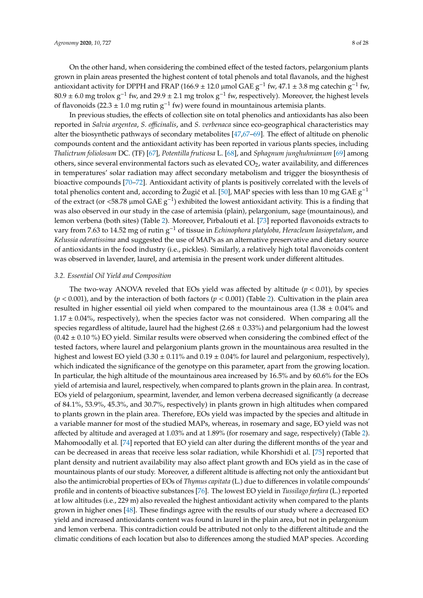On the other hand, when considering the combined effect of the tested factors, pelargonium plants grown in plain areas presented the highest content of total phenols and total flavanols, and the highest antioxidant activity for DPPH and FRAP (166.9 ± 12.0 µmol GAE  $g^{-1}$  fw, 47.1 ± 3.8 mg catechin  $g^{-1}$  fw, 80.9 ± 6.0 mg trolox  $g^{-1}$  fw, and 29.9 ± 2.1 mg trolox  $g^{-1}$  fw, respectively). Moreover, the highest levels of flavonoids (22.3 ± 1.0 mg rutin g−<sup>1</sup> fw) were found in mountainous artemisia plants.

In previous studies, the effects of collection site on total phenolics and antioxidants has also been reported in *Salvia argentea*, *S. o*ffi*cinalis*, and *S. verbenaca* since eco-geographical characteristics may alter the biosynthetic pathways of secondary metabolites [\[47](#page-22-11)[,67–](#page-23-9)[69\]](#page-23-10). The effect of altitude on phenolic compounds content and the antioxidant activity has been reported in various plants species, including *Thalictrum foliolosum* DC. (TF) [\[67\]](#page-23-9), *Potentilla fruticosa* L. [\[68\]](#page-23-11), and *Sphagnum junghuhnianum* [\[69\]](#page-23-10) among others, since several environmental factors such as elevated  $CO<sub>2</sub>$ , water availability, and differences in temperatures' solar radiation may affect secondary metabolism and trigger the biosynthesis of bioactive compounds [\[70](#page-23-12)[–72\]](#page-23-13). Antioxidant activity of plants is positively correlated with the levels of total phenolics content and, according to Žugić et al. [\[50\]](#page-22-12), MAP species with less than 10 mg GAE  $g^{-1}$ of the extract (or <58.78 µmol GAE  $g^{-1}$ ) exhibited the lowest antioxidant activity. This is a finding that was also observed in our study in the case of artemisia (plain), pelargonium, sage (mountainous), and lemon verbena (both sites) (Table [2\)](#page-6-0). Moreover, Pirbalouti et al. [\[73\]](#page-23-14) reported flavonoids extracts to vary from 7.63 to 14.52 mg of rutin g−<sup>1</sup> of tissue in *Echinophora platyloba, Heracleum lasiopetalum*, and *Kelussia odoratissima* and suggested the use of MAPs as an alternative preservative and dietary source of antioxidants in the food industry (i.e., pickles). Similarly, a relatively high total flavonoids content was observed in lavender, laurel, and artemisia in the present work under different altitudes.

#### *3.2. Essential Oil Yield and Composition*

The two-way ANOVA reveled that EOs yield was affected by altitude  $(p < 0.01)$ , by species  $(p < 0.001)$ , and by the interaction of both factors  $(p < 0.001)$  (Table [2\)](#page-6-0). Cultivation in the plain area resulted in higher essential oil yield when compared to the mountainous area  $(1.38 \pm 0.04\%$  and  $1.17 \pm 0.04\%$ , respectively), when the species factor was not considered. When comparing all the species regardless of altitude, laurel had the highest  $(2.68 \pm 0.33%)$  and pelargonium had the lowest  $(0.42 \pm 0.10 \%)$  EO yield. Similar results were observed when considering the combined effect of the tested factors, where laurel and pelargonium plants grown in the mountainous area resulted in the highest and lowest EO yield  $(3.30 \pm 0.11\%$  and  $0.19 \pm 0.04\%$  for laurel and pelargonium, respectively), which indicated the significance of the genotype on this parameter, apart from the growing location. In particular, the high altitude of the mountainous area increased by 16.5% and by 60.6% for the EOs yield of artemisia and laurel, respectively, when compared to plants grown in the plain area. In contrast, EOs yield of pelargonium, spearmint, lavender, and lemon verbena decreased significantly (a decrease of 84.1%, 53.9%, 45.3%, and 30.7%, respectively) in plants grown in high altitudes when compared to plants grown in the plain area. Therefore, EOs yield was impacted by the species and altitude in a variable manner for most of the studied MAPs, whereas, in rosemary and sage, EO yield was not affected by altitude and averaged at 1.03% and at 1.89% (for rosemary and sage, respectively) (Table [2\)](#page-6-0). Mahomoodally et al. [\[74\]](#page-23-15) reported that EO yield can alter during the different months of the year and can be decreased in areas that receive less solar radiation, while Khorshidi et al. [\[75\]](#page-23-16) reported that plant density and nutrient availability may also affect plant growth and EOs yield as in the case of mountainous plants of our study. Moreover, a different altitude is affecting not only the antioxidant but also the antimicrobial properties of EOs of *Thymus capitata* (L.) due to differences in volatile compounds' profile and in contents of bioactive substances [\[76\]](#page-23-17). The lowest EO yield in *Tussilago farfara* (L.) reported at low altitudes (i.e., 229 m) also revealed the highest antioxidant activity when compared to the plants grown in higher ones [\[48\]](#page-22-21). These findings agree with the results of our study where a decreased EO yield and increased antioxidants content was found in laurel in the plain area, but not in pelargonium and lemon verbena. This contradiction could be attributed not only to the different altitude and the climatic conditions of each location but also to differences among the studied MAP species. According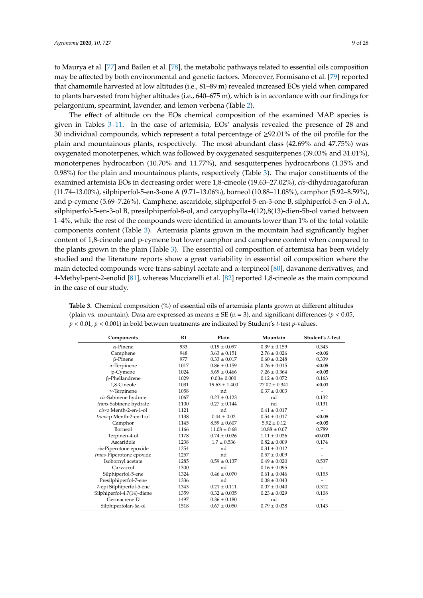to Maurya et al. [\[77\]](#page-24-0) and Bailen et al. [\[78\]](#page-24-1), the metabolic pathways related to essential oils composition may be affected by both environmental and genetic factors. Moreover, Formisano et al. [\[79\]](#page-24-2) reported that chamomile harvested at low altitudes (i.e., 81–89 m) revealed increased EOs yield when compared to plants harvested from higher altitudes (i.e., 640–675 m), which is in accordance with our findings for pelargonium, spearmint, lavender, and lemon verbena (Table [2\)](#page-6-0).

The effect of altitude on the EOs chemical composition of the examined MAP species is given in Tables [3](#page-8-0)[–11.](#page-15-0) In the case of artemisia, EOs' analysis revealed the presence of 28 and 30 individual compounds, which represent a total percentage of ≥92.01% of the oil profile for the plain and mountainous plants, respectively. The most abundant class (42.69% and 47.75%) was oxygenated monoterpenes, which was followed by oxygenated sesquiterpenes (39.03% and 31.01%), monoterpenes hydrocarbon (10.70% and 11.77%), and sesquiterpenes hydrocarbons (1.35% and 0.98%) for the plain and mountainous plants, respectively (Table [3\)](#page-8-0). The major constituents of the examined artemisia EOs in decreasing order were 1,8-cineole (19.63–27.02%), *cis*-dihydroagarofuran (11.74–13.00%), silphiperfol-5-en-3-one A (9.71–13.06%), borneol (10.88–11.08%), camphor (5.92–8.59%), and p-cymene (5.69–7.26%). Camphene, ascaridole, silphiperfol-5-en-3-one B, silphiperfol-5-en-3-ol A, silphiperfol-5-en-3-ol B, presilphiperfol-8-ol, and caryophylla-4(12),8(13)-dien-5b-ol varied between 1–4%, while the rest of the compounds were identified in amounts lower than 1% of the total volatile components content (Table [3\)](#page-8-0). Artemisia plants grown in the mountain had significantly higher content of 1,8-cineole and p-cymene but lower camphor and camphene content when compared to the plants grown in the plain (Table [3\)](#page-8-0). The essential oil composition of artemisia has been widely studied and the literature reports show a great variability in essential oil composition where the main detected compounds were trans-sabinyl acetate and α-terpineol [\[80\]](#page-24-3), davanone derivatives, and 4-Methyl-pent-2-enolid [\[81\]](#page-24-4), whereas Mucciarelli et al. [\[82\]](#page-24-5) reported 1,8-cineole as the main compound in the case of our study.

| Components                 | RI   | Plain             | Mountain          | Student's t-Test |
|----------------------------|------|-------------------|-------------------|------------------|
| $\alpha$ -Pinene           | 933  | $0.19 \pm 0.097$  | $0.39 \pm 0.159$  | 0.343            |
| Camphene                   | 948  | $3.63 \pm 0.151$  | $2.76 \pm 0.026$  | < 0.05           |
| $\beta$ -Pinene            | 977  | $0.33 \pm 0.017$  | $0.60 \pm 0.248$  | 0.339            |
| $\alpha$ -Terpinene        | 1017 | $0.86 \pm 0.159$  | $0.26 \pm 0.015$  | < 0.05           |
| p-Cymene                   | 1024 | $5.69 \pm 0.466$  | $7.26 \pm 0.364$  | < 0.05           |
| β-Phellandrene             | 1029 | $0.00 \pm 0.000$  | $0.12 \pm 0.072$  | 0.163            |
| 1,8-Cineole                | 1031 | $19.63 \pm 1.400$ | $27.02 \pm 0.341$ | < 0.01           |
| $\gamma$ -Terpinene        | 1058 | nd                | $0.37 \pm 0.003$  | ٠                |
| cis-Sabinene hydrate       | 1067 | $0.23 \pm 0.123$  | nd                | 0.132            |
| trans-Sabinene hydrate     | 1100 | $0.27 \pm 0.144$  | nd                | 0.131            |
| cis-p Menth-2-en-1-ol      | 1121 | nd                | $0.41 \pm 0.017$  |                  |
| trans-p Menth-2-en-1-ol    | 1138 | $0.44 \pm 0.02$   | $0.54 \pm 0.017$  | < 0.05           |
| Camphor                    | 1145 | $8.59 \pm 0.607$  | $5.92 \pm 0.12$   | < 0.05           |
| Borneol                    | 1166 | $11.08 \pm 0.68$  | $10.88 \pm 0.07$  | 0.789            |
| Terpinen-4-ol              | 1178 | $0.74 \pm 0.026$  | $1.11 \pm 0.026$  | < 0.001          |
| Ascaridole                 | 1238 | $1.7 \pm 0.536$   | $0.82 \pm 0.009$  | 0.174            |
| cis-Piperotone epoxide     | 1254 | nd                | $0.31 \pm 0.012$  |                  |
| trans-Piperotone epoxide   | 1257 | nd                | $0.57 \pm 0.009$  |                  |
| Isobornyl acetate          | 1285 | $0.59 \pm 0.137$  | $0.49 \pm 0.020$  | 0.537            |
| Carvacrol                  | 1300 | nd                | $0.16 \pm 0.095$  |                  |
| Silphiperfol-5-ene         | 1324 | $0.46 \pm 0.070$  | $0.61 \pm 0.046$  | 0.155            |
| Presilphiperfol-7-ene      | 1336 | nd                | $0.08 \pm 0.043$  |                  |
| 7-epi Silphiperfol-5-ene   | 1343 | $0.21 \pm 0.111$  | $0.07 \pm 0.040$  | 0.312            |
| Silphiperfol-4.7(14)-diene | 1359 | $0.32 \pm 0.035$  | $0.23 \pm 0.029$  | 0.108            |
| Germacrene D               | 1497 | $0.36 \pm 0.180$  | nd                |                  |
| Silphiperfolan-6a-ol       | 1518 | $0.67 \pm 0.050$  | $0.79 \pm 0.038$  | 0.143            |
|                            |      |                   |                   |                  |

<span id="page-8-0"></span>**Table 3.** Chemical composition (%) of essential oils of artemisia plants grown at different altitudes (plain vs. mountain). Data are expressed as means  $\pm$  SE (n = 3), and significant differences ( $p < 0.05$ , *p* < 0.01, *p* < 0.001) in bold between treatments are indicated by Student's *t*-test *p*-values.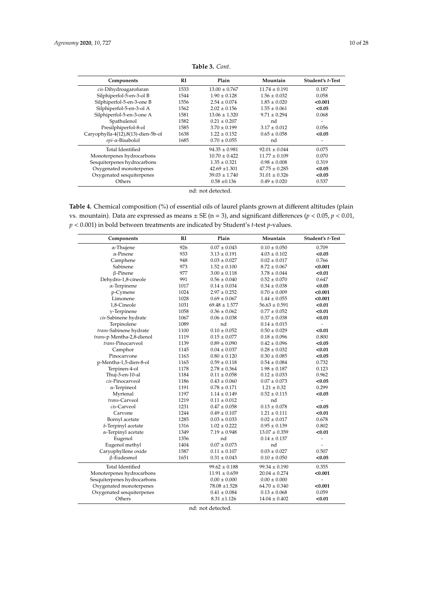| Components                         | RI   | Plain             | Mountain          | Student's t-Test         |
|------------------------------------|------|-------------------|-------------------|--------------------------|
| cis-Dihydroagarofuran              | 1533 | $13.00 + 0.767$   | $11.74 + 0.191$   | 0.187                    |
| Silphiperfol-5-en-3-ol B           | 1544 | $1.90 + 0.128$    | $1.56 + 0.032$    | 0.058                    |
| Silphiperfol-5-en-3-one B          | 1556 | $2.54 \pm 0.074$  | $1.85 \pm 0.020$  | < 0.001                  |
| Silphiperfol-5-en-3-ol A           | 1562 | $2.02 \pm 0.156$  | $1.55 \pm 0.061$  | < 0.05                   |
| Silphiperfol-5-en-3-one A          | 1581 | $13.06 \pm 1.320$ | $9.71 + 0.294$    | 0.068                    |
| Spathulenol                        | 1582 | $0.21 \pm 0.207$  | nd                | ۰                        |
| Presilphiperfol-8-ol               | 1585 | $3.70 \pm 0.199$  | $3.17 + 0.012$    | 0.056                    |
| Caryophylla-4(12),8(13)-dien-5b-ol | 1638 | $1.22 \pm 0.152$  | $0.65 + 0.058$    | < 0.05                   |
| $epi$ - $\alpha$ -Bisabolol        | 1685 | $0.70 \pm 0.055$  | nd                | $\overline{\phantom{a}}$ |
| Total Identified                   |      | $94.35 \pm 0.981$ | $92.01 + 0.044$   | 0.075                    |
| Monoterpenes hydrocarbons          |      | $10.70 + 0.422$   | $11.77 + 0.109$   | 0.070                    |
| Sesquiterpenes hydrocarbons        |      | $1.35 \pm 0.321$  | $0.98 \pm 0.008$  | 0.319                    |
| Oxygenated monoterpenes            |      | $42.69 \pm 1.301$ | $47.75 \pm 0.285$ | < 0.05                   |
| Oxygenated sesquiterpenes          |      | $39.03 + 1.740$   | $31.01 + 0.326$   | < 0.05                   |
| Others                             |      | $0.58 \pm 0.136$  | $0.49 \pm 0.020$  | 0.537                    |

**Table 3.** *Cont*.

<span id="page-9-0"></span>**Table 4.** Chemical composition (%) of essential oils of laurel plants grown at different altitudes (plain vs. mountain). Data are expressed as means ± SE (n = 3), and significant differences (*p* < 0.05, *p* < 0.01, *p* < 0.001) in bold between treatments are indicated by Student's *t*-test *p*-values.

| Components                  | RI   | Plain             | Mountain          | Student's t-Test |
|-----------------------------|------|-------------------|-------------------|------------------|
| $\alpha$ -Thujene           | 926  | $0.07 \pm 0.043$  | $0.10 \pm 0.050$  | 0.709            |
| $\alpha$ -Pinene            | 933  | $3.13 \pm 0.191$  | $4.03 \pm 0.102$  | < 0.05           |
| Camphene                    | 948  | $0.03 \pm 0.027$  | $0.02 \pm 0.017$  | 0.766            |
| Sabinene                    | 973  | $1.52 \pm 0.100$  | $8.72 \pm 0.067$  | < 0.001          |
| $\beta$ -Pinene             | 977  | $3.00 \pm 0.118$  | $3.78 \pm 0.044$  | < 0.01           |
| Dehydro-1,8-cineole         | 991  | $0.56 \pm 0.040$  | $0.52 \pm 0.070$  | 0.647            |
| $\alpha$ -Terpinene         | 1017 | $0.14 \pm 0.034$  | $0.34 \pm 0.038$  | < 0.05           |
| p-Cymene                    | 1024 | $2.97 \pm 0.252$  | $0.70 \pm 0.009$  | < 0.001          |
| Limonene                    | 1028 | $0.69 \pm 0.067$  | $1.44 \pm 0.055$  | < 0.001          |
| 1,8-Cineole                 | 1031 | $69.48 \pm 1.577$ | $56.63 \pm 0.591$ | < 0.01           |
| $\gamma$ -Terpinene         | 1058 | $0.36 \pm 0.062$  | $0.77 \pm 0.052$  | < 0.01           |
| cis-Sabinene hydrate        | 1067 | $0.06 \pm 0.038$  | $0.37 \pm 0.038$  | < 0.01           |
| Terpinolene                 | 1089 | nd                | $0.14 \pm 0.015$  | $\overline{a}$   |
| trans-Sabinene hydrate      | 1100 | $0.10 \pm 0.052$  | $0.50 \pm 0.029$  | < 0.01           |
| trans-p Mentha-2,8-dienol   | 1119 | $0.15 \pm 0.077$  | $0.18 \pm 0.096$  | 0.800            |
| trans-Pinocarveol           | 1139 | $0.89 \pm 0.090$  | $0.42 \pm 0.096$  | < 0.05           |
| Camphor                     | 1145 | $0.04\pm0.037$    | $0.28 \pm 0.032$  | < 0.01           |
| Pinocarvone                 | 1163 | $0.80 \pm 0.120$  | $0.30 \pm 0.085$  | < 0.05           |
| p-Mentha-1,5-dien-8-ol      | 1165 | $0.59 \pm 0.118$  | $0.54 \pm 0.084$  | 0.732            |
| Terpinen-4-ol               | 1178 | $2.78 \pm 0.364$  | $1.98 \pm 0.187$  | 0.123            |
| Thuj-3-en-10-al             | 1184 | $0.11 \pm 0.058$  | $0.12 \pm 0.033$  | 0.962            |
| cis-Pinocarveol             | 1186 | $0.43 \pm 0.060$  | $0.07 \pm 0.073$  | < 0.05           |
| $\alpha$ -Terpineol         | 1191 | $0.78 \pm 0.171$  | $1.21 \pm 0.32$   | 0.299            |
| Myrtenal                    | 1197 | $1.14 \pm 0.149$  | $0.52 \pm 0.115$  | < 0.05           |
| trans-Carveol               | 1219 | $0.11 \pm 0.012$  | nd                | $\overline{a}$   |
| cis-Carveol                 | 1231 | $0.47 \pm 0.058$  | $0.13 \pm 0.078$  | < 0.05           |
| Carvone                     | 1244 | $0.49 \pm 0.107$  | $1.21 \pm 0.111$  | < 0.01           |
| Bornyl acetate              | 1285 | $0.03 \pm 0.033$  | $0.02 \pm 0.017$  | 0.678            |
| δ-Terpinyl acetate          | 1316 | $1.02 \pm 0.222$  | $0.95 \pm 0.139$  | 0.802            |
| α-Terpinyl acetate          | 1349 | $7.19 \pm 0.948$  | $13.07 \pm 0.359$ | < 0.01           |
| Eugenol                     | 1356 | nd                | $0.14 \pm 0.137$  | L,               |
| Eugenol methyl              | 1404 | $0.07 \pm 0.073$  | nd                | $\overline{a}$   |
| Caryophyllene oxide         | 1587 | $0.11 \pm 0.107$  | $0.03 \pm 0.027$  | 0.507            |
| $\beta$ -Eudesmol           | 1651 | $0.31 \pm 0.043$  | $0.10 \pm 0.050$  | < 0.05           |
| <b>Total Identified</b>     |      | $99.62 \pm 0.188$ | $99.34 \pm 0.190$ | 0.355            |
| Monoterpenes hydrocarbons   |      | $11.91 \pm 0.659$ | $20.04 \pm 0.274$ | < 0.001          |
| Sesquiterpenes hydrocarbons |      | $0.00\pm0.000$    | $0.00 \pm 0.000$  | ÷                |
| Oxygenated monoterpenes     |      | $78.08 \pm 1.528$ | $64.70 \pm 0.340$ | < 0.001          |
| Oxygenated sesquiterpenes   |      | $0.41 \pm 0.084$  | $0.13 \pm 0.068$  | 0.059            |
| Others                      |      | $8.31 \pm 1.126$  | $14.04 \pm 0.402$ | < 0.01           |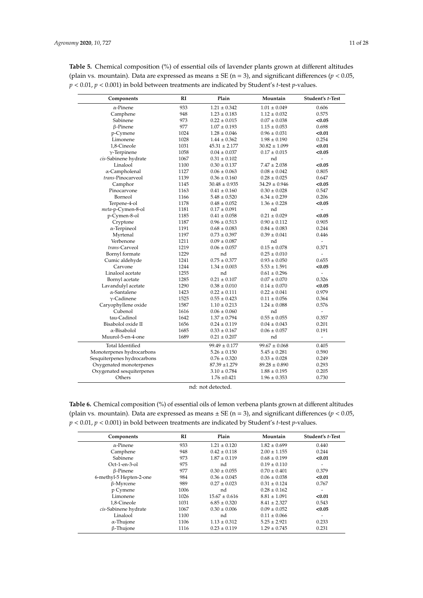| Components                  | RI   | Plain             | Mountain          | Student's t-Test         |
|-----------------------------|------|-------------------|-------------------|--------------------------|
| $\alpha$ -Pinene            | 933  | $1.21 \pm 0.342$  | $1.01 \pm 0.049$  | 0.606                    |
| Camphene                    | 948  | $1.23 \pm 0.183$  | $1.12 \pm 0.032$  | 0.575                    |
| Sabinene                    | 973  | $0.22 \pm 0.015$  | $0.07 \pm 0.038$  | $<$ 0.05                 |
| $\beta$ -Pinene             | 977  | $1.07 \pm 0.193$  | $1.15 \pm 0.053$  | 0.698                    |
| p-Cymene                    | 1024 | $1.28 \pm 0.046$  | $0.96 \pm 0.031$  | $0.01$                   |
| Limonene                    | 1028 | $1.44 \pm 0.362$  | $1.98 \pm 0.190$  | 0.254                    |
| 1,8-Cineole                 | 1031 | $45.31 \pm 2.177$ | $30.82 \pm 1.099$ | < 0.01                   |
| $\gamma$ -Terpinene         | 1058 | $0.04 \pm 0.037$  | $0.17 \pm 0.015$  | < 0.05                   |
| cis-Sabinene hydrate        | 1067 | $0.31 \pm 0.102$  | nd                | $\overline{a}$           |
| Linalool                    | 1100 | $0.30 \pm 0.137$  | $7.47 \pm 2.038$  | < 0.05                   |
| α-Campholenal               | 1127 | $0.06 \pm 0.063$  | $0.08 \pm 0.042$  | 0.805                    |
| trans-Pinocarveol           | 1139 | $0.36 \pm 0.160$  | $0.28 \pm 0.025$  | 0.647                    |
| Camphor                     | 1145 | $30.48 \pm 0.935$ | $34.29 \pm 0.946$ | < 0.05                   |
| Pinocarvone                 | 1163 | $0.41 \pm 0.160$  | $0.30 \pm 0.028$  | 0.547                    |
| Borneol                     | 1166 | $5.48 \pm 0.520$  | $6.34 \pm 0.239$  | 0.206                    |
| Terpene-4-ol                | 1178 | $0.48 \pm 0.052$  | $1.36 \pm 0.228$  | < 0.05                   |
| meta-p-Cymen-8-ol           | 1181 | $0.17 \pm 0.091$  | nd                | ÷,                       |
| p-Cymen-8-ol                | 1185 | $0.41 \pm 0.058$  | $0.21 \pm 0.029$  | $<$ 0.05                 |
| Cryptone                    | 1187 | $0.96 \pm 0.513$  | $0.90 \pm 0.112$  | 0.905                    |
| $\alpha$ -Terpineol         | 1191 | $0.68 \pm 0.083$  | $0.84 \pm 0.083$  | 0.244                    |
| Myrtenal                    | 1197 | $0.73 \pm 0.397$  | $0.39 \pm 0.041$  | 0.446                    |
| Verbenone                   | 1211 | $0.09 \pm 0.087$  | nd                | ÷,                       |
| trans-Carveol               | 1219 | $0.06 \pm 0.057$  | $0.15 \pm 0.078$  | 0.371                    |
| Bornyl formate              | 1229 | nd                | $0.25 \pm 0.010$  | L,                       |
| Cumic aldehyde              | 1241 | $0.75 \pm 0.377$  | $0.93 \pm 0.050$  | 0.655                    |
| Carvone                     | 1244 | $1.34 \pm 0.003$  | $5.53 \pm 1.591$  | $<$ 0.05                 |
| Linalool acetate            | 1255 | nd                | $0.61 \pm 0.296$  | $\overline{\phantom{a}}$ |
| Bornyl acetate              | 1285 | $0.21 \pm 0.107$  | $0.07 \pm 0.070$  | 0.326                    |
| Lavandulyl acetate          | 1290 | $0.38 \pm 0.010$  | $0.14 \pm 0.070$  | < 0.05                   |
| $\alpha$ -Santalene         | 1423 | $0.22 \pm 0.111$  | $0.22 \pm 0.041$  | 0.979                    |
| $\gamma$ -Cadinene          | 1525 | $0.55 \pm 0.423$  | $0.11 \pm 0.056$  | 0.364                    |
| Caryophyllene oxide         | 1587 | $1.10 \pm 0.213$  | $1.24 \pm 0.088$  | 0.576                    |
| Cubenol                     | 1616 | $0.06 \pm 0.060$  | nd                | $\overline{a}$           |
| tau-Cadinol                 | 1642 | $1.37 \pm 0.794$  | $0.55 \pm 0.055$  | 0.357                    |
| Bisabolol oxide II          | 1656 | $0.24 \pm 0.119$  | $0.04 \pm 0.043$  | 0.201                    |
| α-Bisabolol                 | 1685 | $0.33 \pm 0.167$  | $0.06 \pm 0.057$  | 0.191                    |
| Muurol-5-en-4-one           | 1689 | $0.21 \pm 0.207$  | nd                | $\overline{\phantom{m}}$ |
| <b>Total Identified</b>     |      | $99.49 \pm 0.177$ | $99.67 \pm 0.068$ | 0.405                    |
| Monoterpenes hydrocarbons   |      | $5.26 \pm 0.150$  | $5.45 \pm 0.281$  | 0.590                    |
| Sesquiterpenes hydrocarbons |      | $0.76 \pm 0.320$  | $0.33 \pm 0.028$  | 0.249                    |
| Oxygenated monoterpenes     |      | $87.39 \pm 1.279$ | $89.28 \pm 0.890$ | 0.293                    |
| Oxygenated sesquiterpenes   |      | $3.10 \pm 0.784$  | $1.88 \pm 0.195$  | 0.205                    |
| Others                      |      | $1.76 \pm 0.421$  | $1.96 \pm 0.353$  | 0.730                    |

<span id="page-10-0"></span>**Table 5.** Chemical composition (%) of essential oils of lavender plants grown at different altitudes (plain vs. mountain). Data are expressed as means  $\pm$  SE (n = 3), and significant differences ( $p$  < 0.05, *p* < 0.01, *p* < 0.001) in bold between treatments are indicated by Student's *t*-test *p*-values.

<span id="page-10-1"></span>**Table 6.** Chemical composition (%) of essential oils of lemon verbena plants grown at different altitudes (plain vs. mountain). Data are expressed as means ± SE (n = 3), and significant differences (*p* < 0.05, *p* < 0.01, *p* < 0.001) in bold between treatments are indicated by Student's *t*-test *p*-values.

| Components              | <b>RI</b> | Plain             | Mountain         | Student's t-Test         |
|-------------------------|-----------|-------------------|------------------|--------------------------|
| $\alpha$ -Pinene        | 933       | $1.21 \pm 0.120$  | $1.82 \pm 0.699$ | 0.440                    |
| Camphene                | 948       | $0.42 \pm 0.118$  | $2.00 \pm 1.155$ | 0.244                    |
| Sabinene                | 973       | $1.87 \pm 0.119$  | $0.68 \pm 0.199$ | < 0.01                   |
| Oct-1-en-3-ol           | 975       | nd                | $0.19 \pm 0.110$ |                          |
| $\beta$ -Pinene         | 977       | $0.30 \pm 0.055$  | $0.70 \pm 0.401$ | 0.379                    |
| 6-methyl-5 Hepten-2-one | 984       | $0.36 \pm 0.045$  | $0.06 \pm 0.038$ | < 0.01                   |
| $\beta$ -Myrcene        | 989       | $0.27 \pm 0.023$  | $0.31 \pm 0.124$ | 0.767                    |
| p Cymene                | 1006      | nd                | $0.28 \pm 0.162$ | $\overline{\phantom{a}}$ |
| Limonene                | 1026      | $15.67 \pm 0.616$ | $8.81 \pm 1.091$ | < 0.01                   |
| 1.8-Cineole             | 1031      | $6.85 \pm 0.320$  | $8.41 \pm 2.327$ | 0.543                    |
| cis-Sabinene hydrate    | 1067      | $0.30 \pm 0.006$  | $0.09 \pm 0.052$ | < 0.05                   |
| Linalool                | 1100      | nd                | $0.11 \pm 0.066$ | $\overline{\phantom{a}}$ |
| $\alpha$ -Thujone       | 1106      | $1.13 \pm 0.312$  | $5.25 \pm 2.921$ | 0.233                    |
| $\beta$ -Thujone        | 1116      | $0.23 \pm 0.119$  | $1.29 \pm 0.745$ | 0.231                    |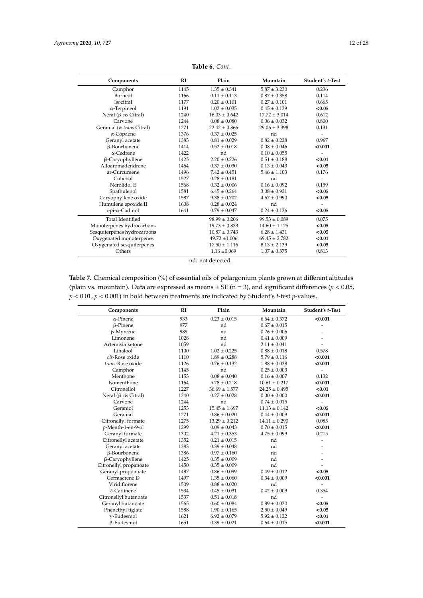| Components                         | RI   | Plain             | Mountain          | Student's t-Test |
|------------------------------------|------|-------------------|-------------------|------------------|
| Camphor                            | 1145 | $1.35 \pm 0.341$  | $5.87 \pm 3.230$  | 0.236            |
| Borneol                            | 1166 | $0.11 \pm 0.113$  | $0.87 \pm 0.358$  | 0.114            |
| Isocitral                          | 1177 | $0.20 \pm 0.101$  | $0.27 \pm 0.101$  | 0.665            |
| $\alpha$ -Terpineol                | 1191 | $1.02 \pm 0.035$  | $0.45 \pm 0.139$  | < 0.05           |
| Neral ( $\beta$ <i>cis</i> Citral) | 1240 | $16.03 \pm 0.642$ | $17.72 \pm 3.014$ | 0.612            |
| Carvone                            | 1244 | $0.08 \pm 0.080$  | $0.06 \pm 0.032$  | 0.800            |
| Geranial ( $\alpha$ trans Citral)  | 1271 | $22.42 \pm 0.866$ | $29.06 \pm 3.398$ | 0.131            |
| $\alpha$ -Copaene                  | 1376 | $0.37 \pm 0.025$  | nd                |                  |
| Geranyl acetate                    | 1383 | $0.81 \pm 0.029$  | $0.82 \pm 0.228$  | 0.967            |
| β-Bourbonene                       | 1414 | $0.52 \pm 0.018$  | $0.08 \pm 0.046$  | < 0.001          |
| $\alpha$ -Cedrene                  | 1422 | nd                | $0.10 \pm 0.055$  |                  |
| β-Caryophyllene                    | 1425 | $2.20 \pm 0.226$  | $0.51 \pm 0.188$  | < 0.01           |
| Alloaromadendrene                  | 1464 | $0.37 \pm 0.030$  | $0.13 \pm 0.043$  | < 0.05           |
| ar-Curcumene                       | 1496 | $7.42 \pm 0.451$  | $5.46 \pm 1.103$  | 0.176            |
| Cubebol                            | 1527 | $0.28 \pm 0.181$  | nd                | ٠                |
| Nerolidol E                        | 1568 | $0.32 \pm 0.006$  | $0.16 + 0.092$    | 0.159            |
| Spathulenol                        | 1581 | $6.45 + 0.264$    | $3.08 \pm 0.921$  | < 0.05           |
| Caryophyllene oxide                | 1587 | $9.38 \pm 0.702$  | $4.67 \pm 0.990$  | < 0.05           |
| Humulene epoxide II                | 1608 | $0.28 \pm 0.024$  | nd                | ٠                |
| epi-α-Cadinol                      | 1641 | $0.79 \pm 0.047$  | $0.24 \pm 0.136$  | < 0.05           |
| <b>Total Identified</b>            |      | $98.99 \pm 0.206$ | $99.53 \pm 0.089$ | 0.075            |
| Monoterpenes hydrocarbons          |      | $19.73 \pm 0.833$ | $14.60 \pm 1.125$ | < 0.05           |
| Sesquiterpenes hydrocarbons        |      | $10.87 \pm 0.743$ | $6.28 \pm 1.431$  | < 0.05           |
| Oxygenated monoterpenes            |      | $49.72 \pm 1.006$ | $69.45 \pm 2.782$ | < 0.01           |
| Oxygenated sesquiterpenes          |      | $17.50 \pm 1.116$ | $8.13 \pm 2.139$  | < 0.05           |
| Others                             |      | $1.16 \pm 0.069$  | $1.07 \pm 0.375$  | 0.813            |

**Table 6.** *Cont*.

<span id="page-11-0"></span>**Table 7.** Chemical composition (%) of essential oils of pelargonium plants grown at different altitudes (plain vs. mountain). Data are expressed as means  $\pm$  SE (n = 3), and significant differences ( $p$  < 0.05, *p* < 0.01, *p* < 0.001) in bold between treatments are indicated by Student's *t*-test *p*-values.

| Components                  | RI   | Plain             | Mountain          | Student's t-Test |
|-----------------------------|------|-------------------|-------------------|------------------|
| $\alpha$ -Pinene            | 933  | $0.23 \pm 0.015$  | $6.64 \pm 0.372$  | < 0.001          |
| $\beta$ -Pinene             | 977  | nd                | $0.67 \pm 0.015$  |                  |
| $\beta$ -Myrcene            | 989  | nd                | $0.26 \pm 0.006$  |                  |
| Limonene                    | 1028 | nd                | $0.41 \pm 0.009$  |                  |
| Artemisia ketone            | 1059 | nd                | $2.11 \pm 0.041$  |                  |
| Linalool                    | 1100 | $1.02 \pm 0.225$  | $0.88 \pm 0.018$  | 0.578            |
| cis-Rose oxide              | 1110 | $1.89 \pm 0.288$  | $5.79 \pm 0.116$  | < 0.001          |
| trans-Rose oxide            | 1126 | $0.76 \pm 0.132$  | $1.88 \pm 0.038$  | < 0.001          |
| Camphor                     | 1145 | nd                | $0.25 \pm 0.003$  | ÷,               |
| Menthone                    | 1153 | $0.08 \pm 0.040$  | $0.16 \pm 0.007$  | 0.132            |
| Isomenthone                 | 1164 | $5.78 \pm 0.218$  | $10.61 \pm 0.217$ | < 0.001          |
| Citronellol                 | 1227 | $36.69 \pm 1.577$ | $24.25 \pm 0.495$ | < 0.01           |
| Neral ( $\beta$ cis Citral) | 1240 | $0.27 \pm 0.028$  | $0.00 \pm 0.000$  | < 0.001          |
| Carvone                     | 1244 | nd                | $0.74 \pm 0.015$  |                  |
| Geraniol                    | 1253 | $15.45 \pm 1.697$ | $11.13 \pm 0.142$ | < 0.05           |
| Geranial                    | 1271 | $0.86 \pm 0.020$  | $0.44 \pm 0.009$  | < 0.001          |
| Citronellyl formate         | 1275 | $13.29 \pm 0.212$ | $14.11 \pm 0.290$ | 0.085            |
| p-Menth-1-en-9-ol           | 1299 | $0.09 \pm 0.043$  | $0.70 \pm 0.015$  | < 0.001          |
| Geranyl formate             | 1302 | $4.21 \pm 0.353$  | $4.75 \pm 0.099$  | 0.215            |
| Citronellyl acetate         | 1352 | $0.21 \pm 0.015$  | nd                |                  |
| Geranyl acetate             | 1383 | $0.39 \pm 0.048$  | nd                |                  |
| β-Bourbonene                | 1386 | $0.97 \pm 0.160$  | nd                |                  |
| $\beta$ -Caryophyllene      | 1425 | $0.35 \pm 0.009$  | nd                |                  |
| Citronellyl propanoate      | 1450 | $0.35 \pm 0.009$  | nd                |                  |
| Geranyl proponoate          | 1487 | $0.86 \pm 0.099$  | $0.49 \pm 0.012$  | < 0.05           |
| Germacrene D                | 1497 | $1.35 \pm 0.060$  | $0.34 \pm 0.009$  | < 0.001          |
| Viridiflorene               | 1509 | $0.88 \pm 0.020$  | nd                |                  |
| $\delta$ -Cadinene          | 1534 | $0.45 \pm 0.031$  | $0.42 \pm 0.009$  | 0.354            |
| Citronellyl butanoate       | 1537 | $0.51 \pm 0.018$  | nd                |                  |
| Geranyl butanoate           | 1565 | $0.60 \pm 0.084$  | $0.89 \pm 0.020$  | < 0.05           |
| Phenethyl tiglate           | 1588 | $1.90 \pm 0.165$  | $2.50 \pm 0.049$  | < 0.05           |
| $\gamma$ -Eudesmol          | 1621 | $6.92 \pm 0.079$  | $5.92 \pm 0.122$  | < 0.01           |
| $\beta$ -Eudesmol           | 1651 | $0.39 \pm 0.021$  | $0.64 \pm 0.015$  | < 0.001          |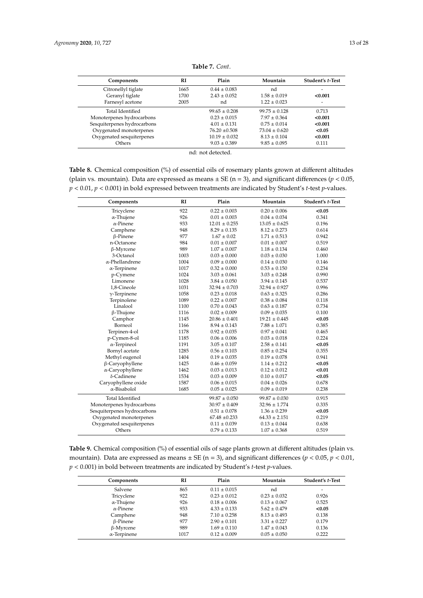| Components                  | RI   | Plain             | Mountain          | Student's t-Test         |
|-----------------------------|------|-------------------|-------------------|--------------------------|
| Citronellyl tiglate         | 1665 | $0.44 \pm 0.083$  | nd                | $\overline{\phantom{a}}$ |
| Geranyl tiglate             | 1700 | $2.43 \pm 0.052$  | $1.58 \pm 0.019$  | < 0.001                  |
| Farnesyl acetone            | 2005 | nd                | $1.22 \pm 0.023$  | $\overline{\phantom{a}}$ |
| Total Identified            |      | $99.65 + 0.208$   | $99.75 \pm 0.128$ | 0.713                    |
| Monoterpenes hydrocarbons   |      | $0.23 \pm 0.015$  | $7.97 \pm 0.364$  | < 0.001                  |
| Sesquiterpenes hydrocarbons |      | $4.01 \pm 0.131$  | $0.75 + 0.014$    | < 0.001                  |
| Oxygenated monoterpenes     |      | $76.20 \pm 0.508$ | $73.04 \pm 0.620$ | < 0.05                   |
| Oxygenated sesquiterpenes   |      | $10.19 \pm 0.032$ | $8.13 \pm 0.104$  | < 0.001                  |
| Others                      |      | $9.03 \pm 0.389$  | $9.85 \pm 0.095$  | 0.111                    |
|                             |      |                   |                   |                          |

**Table 7.** *Cont*.

<span id="page-12-0"></span>**Table 8.** Chemical composition (%) of essential oils of rosemary plants grown at different altitudes (plain vs. mountain). Data are expressed as means  $\pm$  SE (n = 3), and significant differences ( $p$  < 0.05, *p* < 0.01, *p* < 0.001) in bold expressed between treatments are indicated by Student's *t*-test *p*-values.

| Components                  | RI   | Plain             | Mountain          | Student's t-Test |
|-----------------------------|------|-------------------|-------------------|------------------|
| Tricyclene                  | 922  | $0.22 \pm 0.003$  | $0.20 \pm 0.006$  | < 0.05           |
| $\alpha$ -Thujene           | 926  | $0.01 \pm 0.003$  | $0.04 \pm 0.034$  | 0.341            |
| $\alpha$ -Pinene            | 933  | $12.01 \pm 0.255$ | $13.05 \pm 0.625$ | 0.196            |
| Camphene                    | 948  | $8.29 \pm 0.135$  | $8.12 \pm 0.273$  | 0.614            |
| $\beta$ -Pinene             | 977  | $1.67 \pm 0.02$   | $1.71 \pm 0.513$  | 0.942            |
| n-Octanone                  | 984  | $0.01 \pm 0.007$  | $0.01 \pm 0.007$  | 0.519            |
| $\beta$ -Myrcene            | 989  | $1.07 \pm 0.007$  | $1.18 \pm 0.134$  | 0.460            |
| 3-Octanol                   | 1003 | $0.03 \pm 0.000$  | $0.03 \pm 0.030$  | 1.000            |
| $\alpha$ -Phellandrene      | 1004 | $0.09 \pm 0.000$  | $0.14 \pm 0.030$  | 0.146            |
| $\alpha$ -Terpinene         | 1017 | $0.32 \pm 0.000$  | $0.53 \pm 0.150$  | 0.234            |
| p-Cymene                    | 1024 | $3.03 \pm 0.061$  | $3.03 \pm 0.248$  | 0.990            |
| Limonene                    | 1028 | $3.84 \pm 0.050$  | $3.94 \pm 0.145$  | 0.537            |
| 1.8-Cineole                 | 1031 | $32.94 \pm 0.703$ | $32.94 \pm 0.927$ | 0.996            |
| $\gamma$ -Terpinene         | 1058 | $0.23 \pm 0.018$  | $0.63 \pm 0.325$  | 0.286            |
| Terpinolene                 | 1089 | $0.22 \pm 0.007$  | $0.38 \pm 0.084$  | 0.118            |
| Linalool                    | 1100 | $0.70 \pm 0.043$  | $0.63 \pm 0.187$  | 0.734            |
| $\beta$ -Thujone            | 1116 | $0.02 \pm 0.009$  | $0.09 \pm 0.035$  | 0.100            |
| Camphor                     | 1145 | $20.86 \pm 0.401$ | $19.21 \pm 0.445$ | < 0.05           |
| Borneol                     | 1166 | $8.94 \pm 0.143$  | $7.88 \pm 1.071$  | 0.385            |
| Terpinen-4-ol               | 1178 | $0.92 \pm 0.035$  | $0.97 \pm 0.041$  | 0.465            |
| p-Cymen-8-ol                | 1185 | $0.06 \pm 0.006$  | $0.03 \pm 0.018$  | 0.224            |
| $\alpha$ -Terpineol         | 1191 | $3.05 \pm 0.107$  | $2.58 \pm 0.141$  | < 0.05           |
| Bornyl acetate              | 1285 | $0.56 \pm 0.103$  | $0.85 \pm 0.254$  | 0.355            |
| Methyl eugenol              | 1404 | $0.19 \pm 0.035$  | $0.19 \pm 0.078$  | 0.941            |
| β-Caryophyllene             | 1425 | $0.46 \pm 0.059$  | $1.14 \pm 0.212$  | < 0.05           |
| α-Caryophyllene             | 1462 | $0.03 \pm 0.013$  | $0.12 \pm 0.012$  | < 0.01           |
| $\delta$ -Cadinene          | 1534 | $0.03 \pm 0.009$  | $0.10 \pm 0.017$  | < 0.05           |
| Caryophyllene oxide         | 1587 | $0.06 \pm 0.015$  | $0.04 \pm 0.026$  | 0.678            |
| $\alpha$ -Bisabolol         | 1685 | $0.05 \pm 0.025$  | $0.09 \pm 0.019$  | 0.238            |
| Total Identified            |      | $99.87 \pm 0.050$ | $99.87 \pm 0.030$ | 0.915            |
| Monoterpenes hydrocarbons   |      | $30.97 \pm 0.409$ | $32.96 \pm 1.774$ | 0.335            |
| Sesquiterpenes hydrocarbons |      | $0.51 \pm 0.078$  | $1.36 \pm 0.239$  | < 0.05           |
| Oxygenated monoterpenes     |      | $67.48 \pm 0.233$ | $64.33 \pm 2.151$ | 0.219            |
| Oxygenated sesquiterpenes   |      | $0.11 \pm 0.039$  | $0.13 \pm 0.044$  | 0.638            |
| Others                      |      | $0.79 \pm 0.133$  | $1.07 \pm 0.368$  | 0.519            |

<span id="page-12-1"></span>**Table 9.** Chemical composition (%) of essential oils of sage plants grown at different altitudes (plain vs. mountain). Data are expressed as means  $\pm$  SE (n = 3), and significant differences ( $p$  < 0.05,  $p$  < 0.01, *p* < 0.001) in bold between treatments are indicated by Student's *t*-test *p*-values.

| Components          | RI   | Plain            | Mountain         | Student's t-Test         |
|---------------------|------|------------------|------------------|--------------------------|
| Salvene             | 865  | $0.11 \pm 0.015$ | nd               | $\overline{\phantom{a}}$ |
| Tricyclene          | 922  | $0.23 \pm 0.012$ | $0.23 \pm 0.032$ | 0.926                    |
| $\alpha$ -Thujene   | 926  | $0.18 \pm 0.006$ | $0.13 \pm 0.067$ | 0.525                    |
| $\alpha$ -Pinene    | 933  | $4.33 \pm 0.133$ | $5.62 \pm 0.479$ | < 0.05                   |
| Camphene            | 948  | $7.10 \pm 0.258$ | $8.13 \pm 0.493$ | 0.138                    |
| $\beta$ -Pinene     | 977  | $2.90 \pm 0.101$ | $3.31 \pm 0.227$ | 0.179                    |
| $\beta$ -Myrcene    | 989  | $1.69 \pm 0.110$ | $1.47 \pm 0.043$ | 0.136                    |
| $\alpha$ -Terpinene | 1017 | $0.12 \pm 0.009$ | $0.05 \pm 0.050$ | 0.222                    |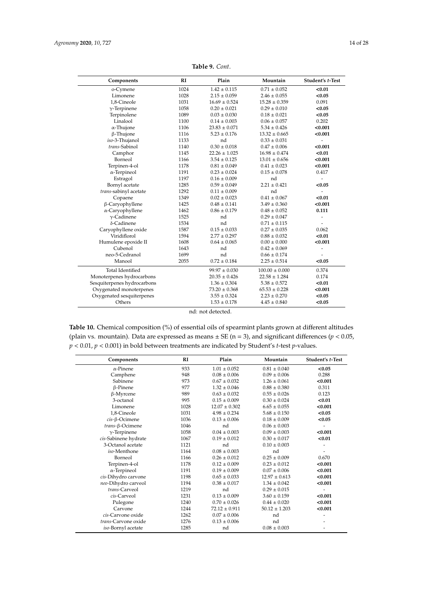| Components                  | RI   | Plain             | Mountain           | Student's t-Test         |  |
|-----------------------------|------|-------------------|--------------------|--------------------------|--|
| o-Cymene                    | 1024 | $1.42 \pm 0.115$  | $0.71\pm0.052$     | < 0.01                   |  |
| Limonene                    | 1028 | $2.15 \pm 0.059$  | $2.46 \pm 0.055$   | < 0.05                   |  |
| 1.8-Cineole                 | 1031 | $16.69 \pm 0.524$ | $15.28 \pm 0.359$  | 0.091                    |  |
| $\gamma$ -Terpinene         | 1058 | $0.20 \pm 0.021$  | $0.29 \pm 0.010$   | < 0.05                   |  |
| Terpinolene                 | 1089 | $0.03 \pm 0.030$  | $0.18 \pm 0.021$   | < 0.05                   |  |
| Linalool                    | 1100 | $0.14 \pm 0.003$  | $0.06 \pm 0.057$   | 0.202                    |  |
| $\alpha$ -Thujone           | 1106 | $23.83 \pm 0.071$ | $5.34 \pm 0.426$   | < 0.001                  |  |
| $\beta$ -Thujone            | 1116 | $5.23 \pm 0.176$  | $13.32 \pm 0.665$  | < 0.001                  |  |
| iso-3-Thujanol              | 1133 | nd                | $0.33 \pm 0.031$   | $\overline{\phantom{a}}$ |  |
| trans-Sabinol               | 1140 | $0.30 \pm 0.018$  | $0.47 \pm 0.006$   | < 0.001                  |  |
| Camphor                     | 1145 | $22.26 \pm 1.025$ | $16.98 \pm 0.474$  | < 0.01                   |  |
| Borneol                     | 1166 | $3.54 \pm 0.125$  | $13.01 \pm 0.656$  | < 0.001                  |  |
| Terpinen-4-ol               | 1178 | $0.81 \pm 0.049$  | $0.41 \pm 0.023$   | < 0.001                  |  |
| $\alpha$ -Terpineol         | 1191 | $0.23 \pm 0.024$  | $0.15 \pm 0.078$   | 0.417                    |  |
| Estragol                    | 1197 | $0.16 \pm 0.009$  | nd                 | $\overline{\phantom{a}}$ |  |
| Bornyl acetate              | 1285 | $0.59 \pm 0.049$  | $2.21 \pm 0.421$   | < 0.05                   |  |
| trans-sabinyl acetate       | 1292 | $0.11 \pm 0.009$  | nd                 | $\overline{\phantom{a}}$ |  |
| Copaene                     | 1349 | $0.02 \pm 0.023$  | $0.41 \pm 0.067$   | < 0.01                   |  |
| β-Caryophyllene             | 1425 | $0.48 \pm 0.141$  | $3.49 \pm 0.360$   | < 0.001                  |  |
| α-Caryophyllene             | 1462 | $0.86 \pm 0.179$  | $0.48 \pm 0.052$   | 0.111                    |  |
| $\gamma$ -Cadinene          | 1525 | nd                | $0.29 \pm 0.047$   |                          |  |
| $\delta$ -Cadinene          | 1534 | nd                | $0.71 \pm 0.115$   |                          |  |
| Caryophyllene oxide         | 1587 | $0.15 \pm 0.033$  | $0.27 \pm 0.035$   | 0.062                    |  |
| Viridiflorol                | 1594 | $2.77 \pm 0.297$  | $0.88 \pm 0.032$   | < 0.01                   |  |
| Humulene epoxide II         | 1608 | $0.64 \pm 0.065$  | $0.00 \pm 0.000$   | < 0.001                  |  |
| Cubenol                     | 1643 | nd                | $0.42 \pm 0.069$   |                          |  |
| neo-5-Cedranol              | 1699 | nd                | $0.66 \pm 0.174$   |                          |  |
| Manool                      | 2055 | $0.72 \pm 0.184$  | $2.25 \pm 0.514$   | < 0.05                   |  |
| <b>Total Identified</b>     |      | $99.97 \pm 0.030$ | $100.00 \pm 0.000$ | 0.374                    |  |
| Monoterpenes hydrocarbons   |      | $20.35 \pm 0.426$ | $22.58 \pm 1.284$  | 0.174                    |  |
| Sesquiterpenes hydrocarbons |      | $1.36 \pm 0.304$  | $5.38 \pm 0.572$   | < 0.01                   |  |
| Oxygenated monoterpenes     |      | $73.20 \pm 0.368$ | $65.53 \pm 0.228$  | < 0.001                  |  |
| Oxygenated sesquiterpenes   |      | $3.55 \pm 0.324$  | $2.23 \pm 0.270$   | < 0.05                   |  |
| Others                      |      | $1.53 \pm 0.178$  | $4.45 \pm 0.840$   | < 0.05                   |  |

**Table 9.** *Cont*.

<span id="page-13-0"></span>**Table 10.** Chemical composition (%) of essential oils of spearmint plants grown at different altitudes (plain vs. mountain). Data are expressed as means ± SE (n = 3), and significant differences (*p* < 0.05, *p* < 0.01, *p* < 0.001) in bold between treatments are indicated by Student's *t*-test *p*-values.

| Components               | RI   | Plain             | Mountain          | Student's t-Test |
|--------------------------|------|-------------------|-------------------|------------------|
| $\alpha$ -Pinene         | 933  | $1.01 \pm 0.052$  | $0.81 \pm 0.040$  | < 0.05           |
| Camphene                 | 948  | $0.08 \pm 0.006$  | $0.09 \pm 0.006$  | 0.288            |
| Sabinene                 | 973  | $0.67 \pm 0.032$  | $1.26 \pm 0.061$  | < 0.001          |
| $\beta$ -Pinene          | 977  | $1.32 \pm 0.046$  | $0.88 \pm 0.380$  | 0.311            |
| $\beta$ -Myrcene         | 989  | $0.63 \pm 0.032$  | $0.55 \pm 0.026$  | 0.123            |
| 3-octanol                | 995  | $0.15 \pm 0.009$  | $0.30 \pm 0.024$  | < 0.01           |
| Limonene                 | 1028 | $12.07 \pm 0.302$ | $6.65 \pm 0.055$  | < 0.001          |
| 1,8-Cineole              | 1031 | $4.98 \pm 0.234$  | $5.68 \pm 0.150$  | < 0.05           |
| $cis$ - $\beta$ -Ocimene | 1036 | $0.13 \pm 0.006$  | $0.18 \pm 0.009$  | < 0.05           |
| trans-ß-Ocimene          | 1046 | nd                | $0.06 \pm 0.003$  | $\overline{a}$   |
| $\gamma$ -Terpinene      | 1058 | $0.04 \pm 0.003$  | $0.09 \pm 0.003$  | < 0.001          |
| cis-Sabinene hydrate     | 1067 | $0.19 \pm 0.012$  | $0.30 \pm 0.017$  | < 0.01           |
| 3-Octanol acetate        | 1121 | nd                | $0.10 \pm 0.003$  |                  |
| iso-Menthone             | 1164 | $0.08 \pm 0.003$  | nd                |                  |
| Borneol                  | 1166 | $0.26 \pm 0.012$  | $0.25 \pm 0.009$  | 0.670            |
| Terpinen-4-ol            | 1178 | $0.12 \pm 0.009$  | $0.23 \pm 0.012$  | < 0.001          |
| $\alpha$ -Terpineol      | 1191 | $0.19 \pm 0.009$  | $0.07 \pm 0.006$  | < 0.001          |
| cis-Dihydro carvone      | 1198 | $0.65 \pm 0.033$  | $12.97 \pm 0.613$ | < 0.001          |
| neo-Dihydro carveol      | 1194 | $0.38 \pm 0.017$  | $1.34 \pm 0.042$  | < 0.001          |
| trans-Carveol            | 1219 | nd                | $0.29 \pm 0.015$  |                  |
| cis-Carveol              | 1231 | $0.13 \pm 0.009$  | $3.60 \pm 0.159$  | < 0.001          |
| Pulegone                 | 1240 | $0.70 \pm 0.026$  | $0.44 \pm 0.020$  | < 0.001          |
| Carvone                  | 1244 | $72.12 \pm 0.911$ | $50.12 \pm 1.203$ | < 0.001          |
| cis-Carvone oxide        | 1262 | $0.07 \pm 0.006$  | nd                |                  |
| trans-Carvone oxide      | 1276 | $0.13 \pm 0.006$  | nd                |                  |
| iso-Bornyl acetate       | 1285 | nd                | $0.08 \pm 0.003$  |                  |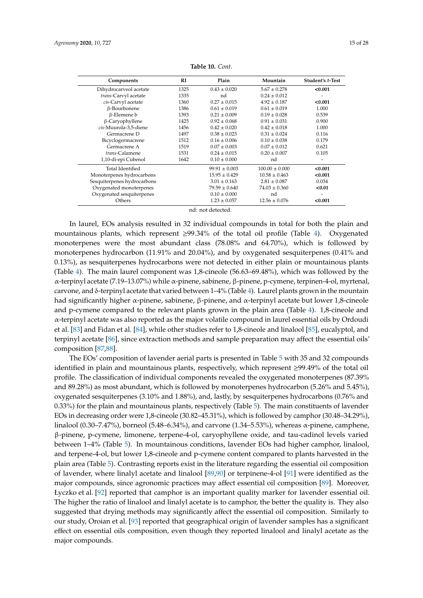| Components                  | RI   | Plain             | Mountain           | Student's t-Test |
|-----------------------------|------|-------------------|--------------------|------------------|
| Dihydrocarveol acetate      | 1325 | $0.43 + 0.020$    | $5.67 \pm 0.278$   | < 0.001          |
| trans-Carvyl acetate        | 1335 | nd                | $0.24 \pm 0.012$   |                  |
| cis-Carvyl acetate          | 1360 | $0.27 + 0.015$    | $4.92 \pm 0.187$   | < 0.001          |
| β-Bourbonene                | 1386 | $0.61 \pm 0.019$  | $0.61 \pm 0.019$   | 1.000            |
| β-Elemene b                 | 1393 | $0.21 \pm 0.009$  | $0.19 \pm 0.028$   | 0.539            |
| $\beta$ -Caryophyllene      | 1425 | $0.92 \pm 0.068$  | $0.91 \pm 0.031$   | 0.900            |
| cis-Muurola-3,5-diene       | 1456 | $0.42 \pm 0.020$  | $0.42 \pm 0.018$   | 1.000            |
| Germacrene D                | 1497 | $0.38 \pm 0.023$  | $0.31 \pm 0.024$   | 0.116            |
| Bicyclogermacrene           | 1512 | $0.16 \pm 0.006$  | $0.10 \pm 0.038$   | 0.179            |
| Germacrene A                | 1519 | $0.07 \pm 0.003$  | $0.07 \pm 0.012$   | 0.621            |
| trans-Calamene              | 1531 | $0.24 \pm 0.015$  | $0.20 \pm 0.007$   | 0.105            |
| 1,10-di-epi Cubenol         | 1642 | $0.10 \pm 0.000$  | nd                 | ٠                |
| Total Identified            |      | $99.91 \pm 0.003$ | $100.00 \pm 0.000$ | < 0.001          |
| Monoterpenes hydrocarbons   |      | $15.95 \pm 0.429$ | $10.58 \pm 0.463$  | < 0.001          |
| Sesquiterpenes hydrocarbons |      | $3.01 \pm 0.163$  | $2.81 \pm 0.087$   | 0.034            |
| Oxygenated monoterpenes     |      | $79.59 \pm 0.640$ | $74.03 \pm 0.360$  | < 0.01           |
| Oxygenated sesquiterpenes   |      | $0.10 \pm 0.000$  | nd                 | ٠                |
| Others                      |      | $1.23 \pm 0.057$  | $12.56 \pm 0.076$  | < 0.001          |

**Table 10.** *Cont*.

In laurel, EOs analysis resulted in 32 individual compounds in total for both the plain and mountainous plants, which represent ≥99.34% of the total oil profile (Table [4\)](#page-9-0). Oxygenated monoterpenes were the most abundant class (78.08% and 64.70%), which is followed by monoterpenes hydrocarbon (11.91% and 20.04%), and by oxygenated sesquiterpenes (0.41% and 0.13%), as sesquiterpenes hydrocarbons were not detected in either plain or mountainous plants (Table [4\)](#page-9-0). The main laurel component was 1,8-cineole (56.63–69.48%), which was followed by the α-terpinyl acetate (7.19–13.07%) while α-pinene, sabinene, β-pinene, p-cymene, terpinen-4-ol, myrtenal, carvone, and δ-terpinyl acetate that varied between 1–4% (Table [4\)](#page-9-0). Laurel plants grown in the mountain had significantly higher α-pinene, sabinene, β-pinene, and α-terpinyl acetate but lower 1,8-cineole and p-cymene compared to the relevant plants grown in the plain area (Table [4\)](#page-9-0). 1,8-cineole and α-terpinyl acetate was also reported as the major volatile compound in laurel essential oils by Ordoudi et al. [\[83\]](#page-24-6) and Fidan et al. [\[84\]](#page-24-7), while other studies refer to 1,8-cineole and linalool [\[85\]](#page-24-8), eucalyptol, and terpinyl acetate [\[86\]](#page-24-9), since extraction methods and sample preparation may affect the essential oils' composition [\[87](#page-24-10)[,88\]](#page-24-11).

The EOs' composition of lavender aerial parts is presented in Table [5](#page-10-0) with 35 and 32 compounds identified in plain and mountainous plants, respectively, which represent ≥99.49% of the total oil profile. The classification of individual components revealed the oxygenated monoterpenes (87.39% and 89.28%) as most abundant, which is followed by monoterpenes hydrocarbon (5.26% and 5.45%), oxygenated sesquiterpenes (3.10% and 1.88%), and, lastly, by sesquiterpenes hydrocarbons (0.76% and 0.33%) for the plain and mountainous plants, respectively (Table [5\)](#page-10-0). The main constituents of lavender EOs in decreasing order were 1,8-cineole (30.82–45.31%), which is followed by camphor (30.48–34.29%), linalool (0.30–7.47%), borneol (5.48–6.34%), and carvone (1.34–5.53%), whereas α-pinene, camphene, β-pinene, p-cymene, limonene, terpene-4-ol, caryophyllene oxide, and tau-cadinol levels varied between 1–4% (Table [5\)](#page-10-0). In mountainous conditions, lavender EOs had higher camphor, linalool, and terpene-4-ol, but lower 1,8-cineole and p-cymene content compared to plants harvested in the plain area (Table [5\)](#page-10-0). Contrasting reports exist in the literature regarding the essential oil composition of lavender, where linalyl acetate and linalool [\[89](#page-24-12)[,90\]](#page-24-13) or terpinene-4-ol [\[91\]](#page-24-14) were identified as the major compounds, since agronomic practices may affect essential oil composition [\[89\]](#page-24-12). Moreover, Łyczko et al. [\[92\]](#page-24-15) reported that camphor is an important quality marker for lavender essential oil. The higher the ratio of linalool and linalyl acetate is to camphor, the better the quality is. They also suggested that drying methods may significantly affect the essential oil composition. Similarly to our study, Oroian et al. [\[93\]](#page-24-16) reported that geographical origin of lavender samples has a significant effect on essential oils composition, even though they reported linalool and linalyl acetate as the major compounds.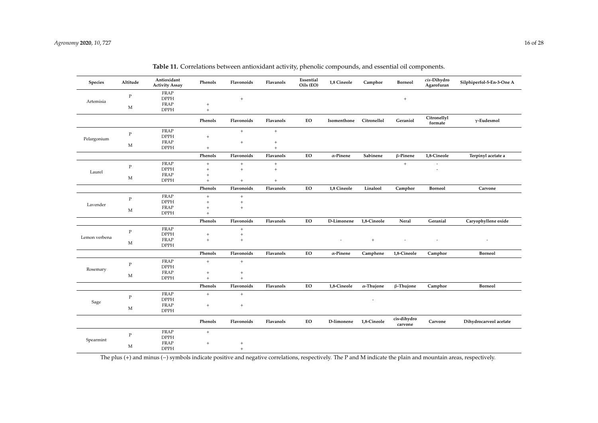| <b>Species</b> | Altitude          | Antioxidant<br><b>Activity Assay</b>                     | Phenols                                               | Flavonoids             | Flavanols  | Essential<br>Oils (EO) | 1,8 Cineole      | Camphor           | Borneol                | cis-Dihydro<br>Agarofuran        | Silphiperfol-5-En-3-One A |
|----------------|-------------------|----------------------------------------------------------|-------------------------------------------------------|------------------------|------------|------------------------|------------------|-------------------|------------------------|----------------------------------|---------------------------|
| Artemisia      | $\mathbf{P}$<br>M | <b>FRAP</b><br><b>DPPH</b><br><b>FRAP</b><br><b>DPPH</b> | $\begin{array}{c} + \end{array}$<br>$\qquad \qquad +$ | $\pm$                  |            |                        |                  |                   | $\boldsymbol{+}$       |                                  |                           |
|                |                   |                                                          | Phenols                                               | Flavonoids             | Flavanols  | EO                     | Isomenthone      | Citronellol       | Geraniol               | Citronellyl<br>formate           | $\gamma$ -Eudesmol        |
| Pelargonium    | $\, {\bf P}$      | FRAP<br><b>DPPH</b>                                      | $\,$ +                                                | $+$                    | $+$        |                        |                  |                   |                        |                                  |                           |
|                | M                 | FRAP<br><b>DPPH</b>                                      | $\qquad \qquad +$                                     | $+$                    | $+$<br>$+$ |                        |                  |                   |                        |                                  |                           |
|                |                   |                                                          | Phenols                                               | Flavonoids             | Flavanols  | <b>EO</b>              | $\alpha$ -Pinene | Sabinene          | $\beta$ -Pinene        | 1,8-Cineole                      | Terpinyl acetate a        |
| Laurel         | $\, {\bf P}$      | FRAP<br><b>DPPH</b><br>FRAP                              | $\pm$<br>$+$                                          | $\ddot{}$<br>$+$       | $+$<br>$+$ |                        |                  |                   | $+$                    | $\overline{a}$<br>$\overline{a}$ |                           |
|                | M                 | <b>DPPH</b>                                              | $+$<br>$+$                                            | $+$                    | $+$        |                        |                  |                   |                        |                                  |                           |
|                |                   |                                                          | Phenols                                               | Flavonoids             | Flavanols  | ${\rm EO}$             | 1,8 Cineole      | Linalool          | Camphor                | Borneol                          | Carvone                   |
| Lavender       | $\, {\bf P}$      | FRAP<br><b>DPPH</b>                                      | $\ddag$<br>$\pm$                                      | $\pm$<br>$\pm$         |            |                        |                  |                   |                        |                                  |                           |
|                | M                 | FRAP<br><b>DPPH</b>                                      | $\pm$<br>$\pm$                                        | $+$                    |            |                        |                  |                   |                        |                                  |                           |
|                |                   |                                                          | Phenols                                               | Flavonoids             | Flavanols  | EO                     | D-Limonene       | 1,8-Cineole       | Neral                  | Geranial                         | Caryophyllene oxide       |
| Lemon verbena  | $\, {\bf P}$      | FRAP<br><b>DPPH</b>                                      | $+$                                                   | $\ddot{}$<br>$\ddot{}$ |            |                        |                  |                   |                        |                                  |                           |
|                | M                 | FRAP<br><b>DPPH</b>                                      | $\pm$                                                 | $\ddot{}$              |            |                        |                  | $+$               |                        |                                  |                           |
|                |                   |                                                          | Phenols                                               | Flavonoids             | Flavanols  | EO                     | $\alpha$ -Pinene | Camphene          | 1,8-Cineole            | Camphor                          | <b>Borneol</b>            |
| Rosemary       | $\, {\bf P}$      | FRAP<br><b>DPPH</b>                                      | $\pm$                                                 | $+$                    |            |                        |                  |                   |                        |                                  |                           |
|                | M                 | FRAP<br><b>DPPH</b>                                      | $\,$ +<br>$\pm$                                       | $+$<br>$+$             |            |                        |                  |                   |                        |                                  |                           |
|                |                   |                                                          | Phenols                                               | Flavonoids             | Flavanols  | ${\bf EO}$             | 1,8-Cineole      | $\alpha$ -Thujone | $\beta$ -Thujone       | Camphor                          | <b>Borneol</b>            |
| Sage           | $\, {\bf P}$      | <b>FRAP</b><br><b>DPPH</b>                               | $\pm$                                                 | $+$                    |            |                        |                  |                   |                        |                                  |                           |
|                | M                 | FRAP<br><b>DPPH</b>                                      | $\,$ +                                                | $+$                    |            |                        |                  |                   |                        |                                  |                           |
|                |                   |                                                          | Phenols                                               | Flavonoids             | Flavanols  | EO                     | D-limonene       | 1,8-Cineole       | cis-dihydro<br>carvone | Carvone                          | Dihydrocarveol acetate    |
| Spearmint      | $\, {\bf P}$      | FRAP<br><b>DPPH</b>                                      | $\pm$                                                 |                        |            |                        |                  |                   |                        |                                  |                           |
|                | M                 | FRAP<br><b>DPPH</b>                                      | $\! + \!\!\!\!$                                       | $\! + \!\!\!\!$<br>$+$ |            |                        |                  |                   |                        |                                  |                           |

**Table 11.** Correlations between antioxidant activity, phenolic compounds, and essential oil components.

<span id="page-15-0"></span>The plus (+) and minus (−) symbols indicate positive and negative correlations, respectively. The P and M indicate the plain and mountain areas, respectively.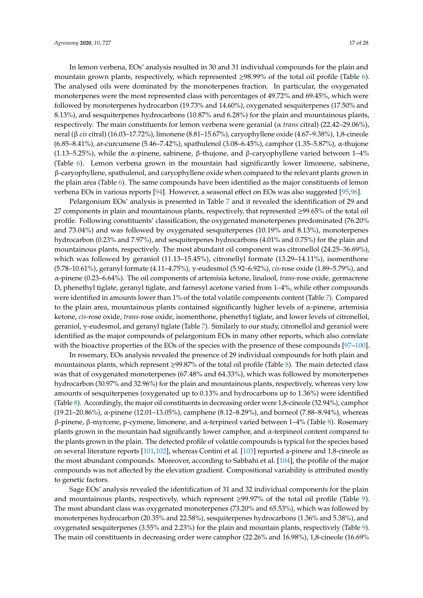In lemon verbena, EOs' analysis resulted in 30 and 31 individual compounds for the plain and mountain grown plants, respectively, which represented  $\geq$ 98.99% of the total oil profile (Table [6\)](#page-10-1). The analysed oils were dominated by the monoterpenes fraction. In particular, the oxygenated monoterpenes were the most represented class with percentages of 49.72% and 69.45%, which were followed by monoterpenes hydrocarbon (19.73% and 14.60%), oxygenated sesquiterpenes (17.50% and 8.13%), and sesquiterpenes hydrocarbons (10.87% and 6.28%) for the plain and mountainous plants, respectively. The main constituents for lemon verbena were geranial (α *trans* citral) (22.42–29.06%), neral (β *cis* citral) (16.03–17.72%), limonene (8.81–15.67%), caryophyllene oxide (4.67–9.38%), 1,8-cineole (6.85–8.41%), ar-curcumene (5.46–7.42%), spathulenol (3.08–6.45%), camphor (1.35–5.87%), α-thujone (1.13–5.25%), while the α-pinene, sabinene, β-thujone, and β-caryophyllene varied between 1–4% (Table [6\)](#page-10-1). Lemon verbena grown in the mountain had significantly lower limonene, sabinene, β-caryophyllene, spathulenol, and caryophyllene oxide when compared to the relevant plants grown in the plain area (Table [6\)](#page-10-1). The same compounds have been identified as the major constituents of lemon

verbena EOs in various reports [\[94\]](#page-24-17). However, a seasonal effect on EOs was also suggested [\[95,](#page-25-0)[96\]](#page-25-1). Pelargonium EOs' analysis is presented in Table [7](#page-11-0) and it revealed the identification of 29 and 27 components in plain and mountainous plants, respectively, that represented ≥99.65% of the total oil profile. Following constituents' classification, the oxygenated monoterpenes predominated (76.20% and 73.04%) and was followed by oxygenated sesquiterpenes (10.19% and 8.13%), monoterpenes hydrocarbon (0.23% and 7.97%), and sesquiterpenes hydrocarbons (4.01% and 0.75%) for the plain and mountainous plants, respectively. The most abundant oil component was citronellol (24.25–36.69%), which was followed by geraniol (11.13–15.45%), citronellyl formate (13.29–14.11%), isomenthone (5.78–10.61%), geranyl formate (4.11–4.75%), γ-eudesmol (5.92–6.92%), *cis*-rose oxide (1.89–5.79%), and α-pinene (0.23–6.64%). The oil components of artemisia ketone, linalool, *trans-*rose oxide, germacrene D, phenethyl tiglate, geranyl tiglate, and farnesyl acetone varied from 1–4%, while other compounds were identified in amounts lower than 1% of the total volatile components content (Table [7\)](#page-11-0). Compared to the plain area, mountainous plants contained significantly higher levels of  $\alpha$ -pinene, artemisia ketone, *cis*-rose oxide, *trans-*rose oxide, isomenthone, phenethyl tiglate, and lower levels of citronellol, geraniol, γ-eudesmol, and geranyl tiglate (Table [7\)](#page-11-0). Similarly to our study, citronellol and geraniol were identified as the major compounds of pelargonium EOs in many other reports, which also correlate with the bioactive properties of the EOs of the species with the presence of these compounds [\[97–](#page-25-2)[100\]](#page-25-3).

In rosemary, EOs analysis revealed the presence of 29 individual compounds for both plain and mountainous plants, which represent ≥99.87% of the total oil profile (Table [8\)](#page-12-0). The main detected class was that of oxygenated monoterpenes (67.48% and 64.33%), which was followed by monoterpenes hydrocarbon (30.97% and 32.96%) for the plain and mountainous plants, respectively, whereas very low amounts of sesquiterpenes (oxygenated up to 0.13% and hydrocarbons up to 1.36%) were identified (Table [8\)](#page-12-0). Accordingly, the major oil constituents in decreasing order were 1,8-cineole (32.94%), camphor (19.21–20.86%), α-pinene (12.01–13.05%), camphene (8.12–8.29%), and borneol (7.88–8.94%), whereas β-pinene, β-myrcene, p-cymene, limonene, and α-terpineol varied between 1–4% (Table [8\)](#page-12-0). Rosemary plants grown in the mountain had significantly lower camphor, and α-terpineol content compared to the plants grown in the plain. The detected profile of volatile compounds is typical for the species based on several literature reports [\[101,](#page-25-4)[102\]](#page-25-5), whereas Contini et al. [\[103\]](#page-25-6) reported a-pinene and 1,8-cineole as the most abundant compounds. Moreover, according to Sabbahi et al. [\[104\]](#page-25-7), the profile of the major compounds was not affected by the elevation gradient. Compositional variability is attributed mostly to genetic factors.

Sage EOs' analysis revealed the identification of 31 and 32 individual components for the plain and mountainous plants, respectively, which represent ≥99.97% of the total oil profile (Table [9\)](#page-12-1). The most abundant class was oxygenated monoterpenes (73.20% and 65.53%), which was followed by monoterpenes hydrocarbon (20.35% and 22.58%), sesquiterpenes hydrocarbons (1.36% and 5.38%), and oxygenated sesquiterpenes (3.55% and 2.23%) for the plain and mountain plants, respectively (Table [9\)](#page-12-1). The main oil constituents in decreasing order were camphor (22.26% and 16.98%), 1,8-cineole (16.69%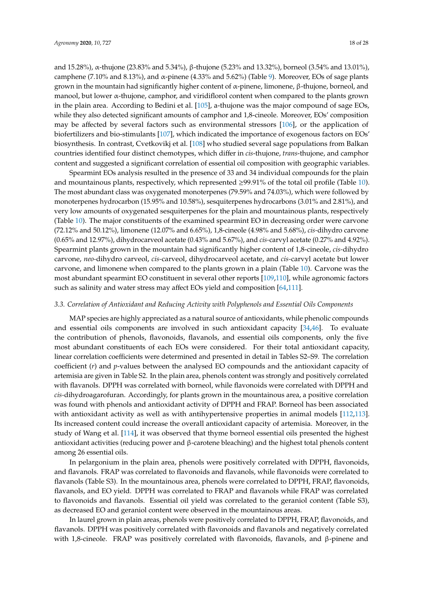and 15.28%), α-thujone (23.83% and 5.34%), β-thujone (5.23% and 13.32%), borneol (3.54% and 13.01%), camphene (7.10% and 8.13%), and α-pinene (4.33% and 5.62%) (Table [9\)](#page-12-1). Moreover, EOs of sage plants grown in the mountain had significantly higher content of α-pinene, limonene, β-thujone, borneol, and manool, but lower  $\alpha$ -thujone, camphor, and viridiflorol content when compared to the plants grown in the plain area. According to Bedini et al. [\[105\]](#page-25-8), a-thujone was the major compound of sage EOs, while they also detected significant amounts of camphor and 1,8-cineole. Moreover, EOs' composition may be affected by several factors such as environmental stressors [\[106\]](#page-25-9), or the application of biofertilizers and bio-stimulants [\[107\]](#page-25-10), which indicated the importance of exogenous factors on EOs' biosynthesis. In contrast, Cvetkovikj et al. [\[108\]](#page-25-11) who studied several sage populations from Balkan countries identified four distinct chemotypes, which differ in *cis*-thujone, *trans*-thujone, and camphor content and suggested a significant correlation of essential oil composition with geographic variables.

Spearmint EOs analysis resulted in the presence of 33 and 34 individual compounds for the plain and mountainous plants, respectively, which represented  $\geq$ 99.91% of the total oil profile (Table [10\)](#page-13-0). The most abundant class was oxygenated monoterpenes (79.59% and 74.03%), which were followed by monoterpenes hydrocarbon (15.95% and 10.58%), sesquiterpenes hydrocarbons (3.01% and 2.81%), and very low amounts of oxygenated sesquiterpenes for the plain and mountainous plants, respectively (Table [10\)](#page-13-0). The major constituents of the examined spearmint EO in decreasing order were carvone (72.12% and 50.12%), limonene (12.07% and 6.65%), 1,8-cineole (4.98% and 5.68%), *cis-*dihydro carvone (0.65% and 12.97%), dihydrocarveol acetate (0.43% and 5.67%), and *cis-*carvyl acetate (0.27% and 4.92%). Spearmint plants grown in the mountain had significantly higher content of 1,8-cineole, *cis-*dihydro carvone, *neo-*dihydro carveol, *cis-*carveol, dihydrocarveol acetate, and *cis-*carvyl acetate but lower carvone, and limonene when compared to the plants grown in a plain (Table [10\)](#page-13-0). Carvone was the most abundant spearmint EO constituent in several other reports [\[109](#page-25-12)[,110\]](#page-25-13), while agronomic factors such as salinity and water stress may affect EOs yield and composition [\[64,](#page-23-6)[111\]](#page-25-14).

## *3.3. Correlation of Antioxidant and Reducing Activity with Polyphenols and Essential Oils Components*

MAP species are highly appreciated as a natural source of antioxidants, while phenolic compounds and essential oils components are involved in such antioxidant capacity [\[34](#page-21-13)[,46\]](#page-22-10). To evaluate the contribution of phenols, flavonoids, flavanols, and essential oils components, only the five most abundant constituents of each EOs were considered. For their total antioxidant capacity, linear correlation coefficients were determined and presented in detail in Tables S2–S9. The correlation coefficient (*r*) and *p*-values between the analysed EO compounds and the antioxidant capacity of artemisia are given in Table S2. In the plain area, phenols content was strongly and positively correlated with flavanols. DPPH was correlated with borneol, while flavonoids were correlated with DPPH and *cis-*dihydroagarofuran. Accordingly, for plants grown in the mountainous area, a positive correlation was found with phenols and antioxidant activity of DPPH and FRAP. Borneol has been associated with antioxidant activity as well as with antihypertensive properties in animal models [\[112,](#page-25-15)[113\]](#page-25-16). Its increased content could increase the overall antioxidant capacity of artemisia. Moreover, in the study of Wang et al. [\[114\]](#page-25-17), it was observed that thyme borneol essential oils presented the highest antioxidant activities (reducing power and β-carotene bleaching) and the highest total phenols content among 26 essential oils.

In pelargonium in the plain area, phenols were positively correlated with DPPH, flavonoids, and flavanols. FRAP was correlated to flavonoids and flavanols, while flavonoids were correlated to flavanols (Table S3). In the mountainous area, phenols were correlated to DPPH, FRAP, flavonoids, flavanols, and EO yield. DPPH was correlated to FRAP and flavanols while FRAP was correlated to flavonoids and flavanols. Essential oil yield was correlated to the geraniol content (Table S3), as decreased EO and geraniol content were observed in the mountainous areas.

In laurel grown in plain areas, phenols were positively correlated to DPPH, FRAP, flavonoids, and flavanols. DPPH was positively correlated with flavonoids and flavanols and negatively correlated with 1,8-cineole. FRAP was positively correlated with flavonoids, flavanols, and β-pinene and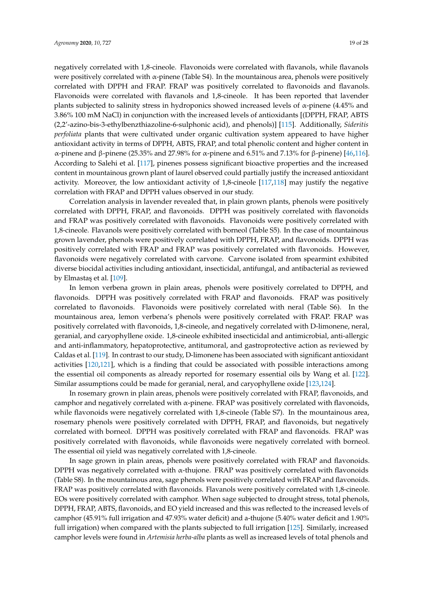negatively correlated with 1,8-cineole. Flavonoids were correlated with flavanols, while flavanols were positively correlated with  $\alpha$ -pinene (Table S4). In the mountainous area, phenols were positively correlated with DPPH and FRAP. FRAP was positively correlated to flavonoids and flavanols. Flavonoids were correlated with flavanols and 1,8-cineole. It has been reported that lavender plants subjected to salinity stress in hydroponics showed increased levels of α-pinene (4.45% and 3.86% 100 mM NaCl) in conjunction with the increased levels of antioxidants [(DPPH, FRAP, ABTS (2,2'-azino-bis-3-ethylbenzthiazoline-6-sulphonic acid), and phenols)] [\[115\]](#page-26-0). Additionally, *Sideritis perfoliata* plants that were cultivated under organic cultivation system appeared to have higher antioxidant activity in terms of DPPH, ABTS, FRAP, and total phenolic content and higher content in α-pinene and β-pinene (25.35% and 27.98% for α-pinene and 6.51% and 7.13% for β-pinene) [\[46,](#page-22-10)[116\]](#page-26-1). According to Salehi et al. [\[117\]](#page-26-2), pinenes possess significant bioactive properties and the increased content in mountainous grown plant of laurel observed could partially justify the increased antioxidant activity. Moreover, the low antioxidant activity of 1,8-cineole [\[117](#page-26-2)[,118\]](#page-26-3) may justify the negative correlation with FRAP and DPPH values observed in our study.

Correlation analysis in lavender revealed that, in plain grown plants, phenols were positively correlated with DPPH, FRAP, and flavonoids. DPPH was positively correlated with flavonoids and FRAP was positively correlated with flavonoids. Flavonoids were positively correlated with 1,8-cineole. Flavanols were positively correlated with borneol (Table S5). In the case of mountainous grown lavender, phenols were positively correlated with DPPH, FRAP, and flavonoids. DPPH was positively correlated with FRAP and FRAP was positively correlated with flavonoids. However, flavonoids were negatively correlated with carvone. Carvone isolated from spearmint exhibited diverse biocidal activities including antioxidant, insecticidal, antifungal, and antibacterial as reviewed by Elmastaş et al. [\[109\]](#page-25-12).

In lemon verbena grown in plain areas, phenols were positively correlated to DPPH, and flavonoids. DPPH was positively correlated with FRAP and flavonoids. FRAP was positively correlated to flavonoids. Flavonoids were positively correlated with neral (Table S6). In the mountainous area, lemon verbena's phenols were positively correlated with FRAP. FRAP was positively correlated with flavonoids, 1,8-cineole, and negatively correlated with D-limonene, neral, geranial, and caryophyllene oxide. 1,8-cineole exhibited insecticidal and antimicrobial, anti-allergic and anti-inflammatory, hepatoprotective, antitumoral, and gastroprotective action as reviewed by Caldas et al. [\[119\]](#page-26-4). In contrast to our study, D-limonene has been associated with significant antioxidant activities [\[120](#page-26-5)[,121\]](#page-26-6), which is a finding that could be associated with possible interactions among the essential oil components as already reported for rosemary essential oils by Wang et al. [\[122\]](#page-26-7). Similar assumptions could be made for geranial, neral, and caryophyllene oxide [\[123](#page-26-8)[,124\]](#page-26-9).

In rosemary grown in plain areas, phenols were positively correlated with FRAP, flavonoids, and camphor and negatively correlated with α-pinene. FRAP was positively correlated with flavonoids, while flavonoids were negatively correlated with 1,8-cineole (Table S7). In the mountainous area, rosemary phenols were positively correlated with DPPH, FRAP, and flavonoids, but negatively correlated with borneol. DPPH was positively correlated with FRAP and flavonoids. FRAP was positively correlated with flavonoids, while flavonoids were negatively correlated with borneol. The essential oil yield was negatively correlated with 1,8-cineole.

In sage grown in plain areas, phenols were positively correlated with FRAP and flavonoids. DPPH was negatively correlated with  $\alpha$ -thujone. FRAP was positively correlated with flavonoids (Table S8). In the mountainous area, sage phenols were positively correlated with FRAP and flavonoids. FRAP was positively correlated with flavonoids. Flavanols were positively correlated with 1,8-cineole. EOs were positively correlated with camphor. When sage subjected to drought stress, total phenols, DPPH, FRAP, ABTS, flavonoids, and EO yield increased and this was reflected to the increased levels of camphor (45.91% full irrigation and 47.93% water deficit) and a-thujone (5.40% water deficit and 1.90% full irrigation) when compared with the plants subjected to full irrigation [\[125\]](#page-26-10). Similarly, increased camphor levels were found in *Artemisia herba-alba* plants as well as increased levels of total phenols and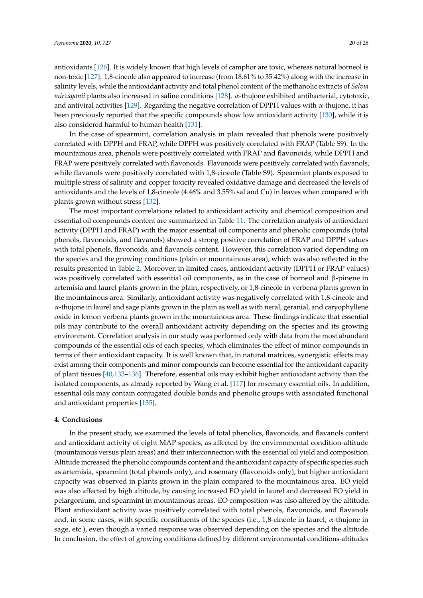antioxidants [\[126\]](#page-26-11). It is widely known that high levels of camphor are toxic, whereas natural borneol is non-toxic [\[127\]](#page-26-12). 1,8-cineole also appeared to increase (from 18.61% to 35.42%) along with the increase in salinity levels, while the antioxidant activity and total phenol content of the methanolic extracts of *Salvia mirzayanii* plants also increased in saline conditions [\[128\]](#page-26-13). α-thujone exhibited antibacterial, cytotoxic, and antiviral activities [\[129\]](#page-26-14). Regarding the negative correlation of DPPH values with  $\alpha$ -thujone, it has been previously reported that the specific compounds show low antioxidant activity [\[130\]](#page-26-15), while it is also considered harmful to human health [\[131\]](#page-26-16).

In the case of spearmint, correlation analysis in plain revealed that phenols were positively correlated with DPPH and FRAP, while DPPH was positively correlated with FRAP (Table S9). In the mountainous area, phenols were positively correlated with FRAP and flavonoids, while DPPH and FRAP were positively correlated with flavonoids. Flavonoids were positively correlated with flavanols, while flavanols were positively correlated with 1,8-cineole (Table S9). Spearmint plants exposed to multiple stress of salinity and copper toxicity revealed oxidative damage and decreased the levels of antioxidants and the levels of 1,8-cineole (4.46% and 3.55% sal and Cu) in leaves when compared with plants grown without stress [\[132\]](#page-26-17).

The most important correlations related to antioxidant activity and chemical composition and essential oil compounds content are summarized in Table [11.](#page-15-0) The correlation analysis of antioxidant activity (DPPH and FRAP) with the major essential oil components and phenolic compounds (total phenols, flavonoids, and flavanols) showed a strong positive correlation of FRAP and DPPH values with total phenols, flavonoids, and flavanols content. However, this correlation varied depending on the species and the growing conditions (plain or mountainous area), which was also reflected in the results presented in Table [2.](#page-6-0) Moreover, in limited cases, antioxidant activity (DPPH or FRAP values) was positively correlated with essential oil components, as in the case of borneol and β-pinene in artemisia and laurel plants grown in the plain, respectively, or 1,8-cineole in verbena plants grown in the mountainous area. Similarly, antioxidant activity was negatively correlated with 1,8-cineole and  $\alpha$ -thujone in laurel and sage plants grown in the plain as well as with neral, geranial, and caryophyllene oxide in lemon verbena plants grown in the mountainous area. These findings indicate that essential oils may contribute to the overall antioxidant activity depending on the species and its growing environment. Correlation analysis in our study was performed only with data from the most abundant compounds of the essential oils of each species, which eliminates the effect of minor compounds in terms of their antioxidant capacity. It is well known that, in natural matrices, synergistic effects may exist among their components and minor compounds can become essential for the antioxidant capacity of plant tissues [\[40,](#page-22-4)[133](#page-26-18)[–136\]](#page-27-0). Therefore, essential oils may exhibit higher antioxidant activity than the isolated components, as already reported by Wang et al. [\[117\]](#page-26-2) for rosemary essential oils. In addition, essential oils may contain conjugated double bonds and phenolic groups with associated functional and antioxidant properties [\[135\]](#page-27-1).

#### **4. Conclusions**

In the present study, we examined the levels of total phenolics, flavonoids, and flavanols content and antioxidant activity of eight MAP species, as affected by the environmental condition-altitude (mountainous versus plain areas) and their interconnection with the essential oil yield and composition. Altitude increased the phenolic compounds content and the antioxidant capacity of specific species such as artemisia, spearmint (total phenols only), and rosemary (flavonoids only), but higher antioxidant capacity was observed in plants grown in the plain compared to the mountainous area. EO yield was also affected by high altitude, by causing increased EO yield in laurel and decreased EO yield in pelargonium, and spearmint in mountainous areas. EO composition was also altered by the altitude. Plant antioxidant activity was positively correlated with total phenols, flavonoids, and flavanols and, in some cases, with specific constituents of the species (i.e., 1,8-cineole in laurel, α-thujone in sage, etc.), even though a varied response was observed depending on the species and the altitude. In conclusion, the effect of growing conditions defined by different environmental conditions-altitudes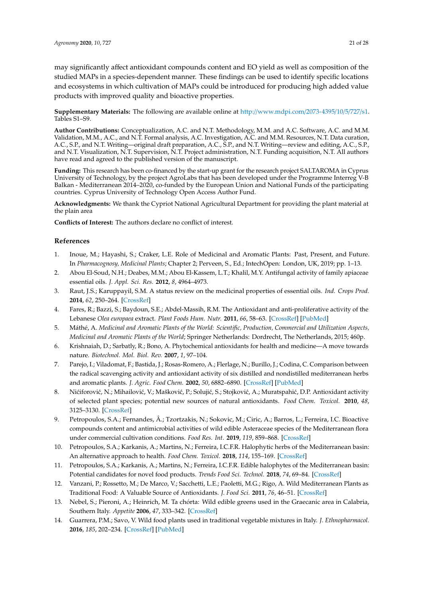may significantly affect antioxidant compounds content and EO yield as well as composition of the studied MAPs in a species-dependent manner. These findings can be used to identify specific locations and ecosystems in which cultivation of MAPs could be introduced for producing high added value products with improved quality and bioactive properties.

**Supplementary Materials:** The following are available online at http://[www.mdpi.com](http://www.mdpi.com/2073-4395/10/5/727/s1)/2073-4395/10/5/727/s1. Tables S1–S9.

**Author Contributions:** Conceptualization, A.C. and N.T. Methodology, M.M. and A.C. Software, A.C. and M.M. Validation, M.M., A.C., and N.T. Formal analysis, A.C. Investigation, A.C. and M.M. Resources, N.T. Data curation, A.C., S.P., and N.T. Writing—original draft preparation, A.C., S.P., and N.T. Writing—review and editing, A.C., S.P., and N.T. Visualization, N.T. Supervision, N.T. Project administration, N.T. Funding acquisition, N.T. All authors have read and agreed to the published version of the manuscript.

**Funding:** This research has been co-financed by the start-up grant for the research project SALTAROMA in Cyprus University of Technology, by the project AgroLabs that has been developed under the Programme Interreg V-B Balkan - Mediterranean 2014–2020, co-funded by the European Union and National Funds of the participating countries. Cyprus University of Technology Open Access Author Fund.

**Acknowledgments:** We thank the Cypriot National Agricultural Department for providing the plant material at the plain area

**Conflicts of Interest:** The authors declare no conflict of interest.

#### **References**

- <span id="page-20-0"></span>1. Inoue, M.; Hayashi, S.; Craker, L.E. Role of Medicinal and Aromatic Plants: Past, Present, and Future. In *Pharmacognosy, Medicinal Plants*; Chapter 2; Perveen, S., Ed.; IntechOpen: London, UK, 2019; pp. 1–13.
- <span id="page-20-10"></span>2. Abou El-Soud, N.H.; Deabes, M.M.; Abou El-Kassem, L.T.; Khalil, M.Y. Antifungal activity of family apiaceae essential oils. *J. Appl. Sci. Res.* **2012**, *8*, 4964–4973.
- <span id="page-20-1"></span>3. Raut, J.S.; Karuppayil, S.M. A status review on the medicinal properties of essential oils. *Ind. Crops Prod.* **2014**, *62*, 250–264. [\[CrossRef\]](http://dx.doi.org/10.1016/j.indcrop.2014.05.055)
- <span id="page-20-2"></span>4. Fares, R.; Bazzi, S.; Baydoun, S.E.; Abdel-Massih, R.M. The Antioxidant and anti-proliferative activity of the Lebanese *Olea europaea* extract. *Plant Foods Hum. Nutr.* **2011**, *66*, 58–63. [\[CrossRef\]](http://dx.doi.org/10.1007/s11130-011-0213-9) [\[PubMed\]](http://www.ncbi.nlm.nih.gov/pubmed/21318304)
- <span id="page-20-3"></span>5. Máthé, A. *Medicinal and Aromatic Plants of the World: Scientific, Production, Commercial and Utilization Aspects, Medicinal and Aromatic Plants of the World*; Springer Netherlands: Dordrecht, The Netherlands, 2015; 460p.
- <span id="page-20-4"></span>6. Krishnaiah, D.; Sarbatly, R.; Bono, A. Phytochemical antioxidants for health and medicine—A move towards nature. *Biotechnol. Mol. Biol. Rev.* **2007**, *1*, 97–104.
- <span id="page-20-5"></span>7. Parejo, I.; Viladomat, F.; Bastida, J.; Rosas-Romero, A.; Flerlage, N.; Burillo, J.; Codina, C. Comparison between the radical scavenging activity and antioxidant activity of six distilled and nondistilled mediterranean herbs and aromatic plants. *J. Agric. Food Chem.* **2002**, *50*, 6882–6890. [\[CrossRef\]](http://dx.doi.org/10.1021/jf020540a) [\[PubMed\]](http://www.ncbi.nlm.nih.gov/pubmed/12405792)
- <span id="page-20-6"></span>8. Nićiforović, N.; Mihailović, V.; Mašković, P.; Solujić, S.; Stojković, A.; Muratspahić, D.P. Antioxidant activity of selected plant species; potential new sources of natural antioxidants. *Food Chem. Toxicol.* **2010**, *48*, 3125–3130. [\[CrossRef\]](http://dx.doi.org/10.1016/j.fct.2010.08.007)
- <span id="page-20-7"></span>9. Petropoulos, S.A.; Fernandes, Â.; Tzortzakis, N.; Sokovic, M.; Ciric, A.; Barros, L.; Ferreira, I.C. Bioactive compounds content and antimicrobial activities of wild edible Asteraceae species of the Mediterranean flora under commercial cultivation conditions. *Food Res. Int.* **2019**, *119*, 859–868. [\[CrossRef\]](http://dx.doi.org/10.1016/j.foodres.2018.10.069)
- 10. Petropoulos, S.A.; Karkanis, A.; Martins, N.; Ferreira, I.C.F.R. Halophytic herbs of the Mediterranean basin: An alternative approach to health. *Food Chem. Toxicol.* **2018**, *114*, 155–169. [\[CrossRef\]](http://dx.doi.org/10.1016/j.fct.2018.02.031)
- <span id="page-20-8"></span>11. Petropoulos, S.A.; Karkanis, A.; Martins, N.; Ferreira, I.C.F.R. Edible halophytes of the Mediterranean basin: Potential candidates for novel food products. *Trends Food Sci. Technol.* **2018**, *74*, 69–84. [\[CrossRef\]](http://dx.doi.org/10.1016/j.tifs.2018.02.006)
- <span id="page-20-9"></span>12. Vanzani, P.; Rossetto, M.; De Marco, V.; Sacchetti, L.E.; Paoletti, M.G.; Rigo, A. Wild Mediterranean Plants as Traditional Food: A Valuable Source of Antioxidants. *J. Food Sci.* **2011**, *76*, 46–51. [\[CrossRef\]](http://dx.doi.org/10.1111/j.1750-3841.2010.01949.x)
- 13. Nebel, S.; Pieroni, A.; Heinrich, M. Ta chórta: Wild edible greens used in the Graecanic area in Calabria, Southern Italy. *Appetite* **2006**, *47*, 333–342. [\[CrossRef\]](http://dx.doi.org/10.1016/j.appet.2006.05.010)
- 14. Guarrera, P.M.; Savo, V. Wild food plants used in traditional vegetable mixtures in Italy. *J. Ethnopharmacol.* **2016**, *185*, 202–234. [\[CrossRef\]](http://dx.doi.org/10.1016/j.jep.2016.02.050) [\[PubMed\]](http://www.ncbi.nlm.nih.gov/pubmed/26944238)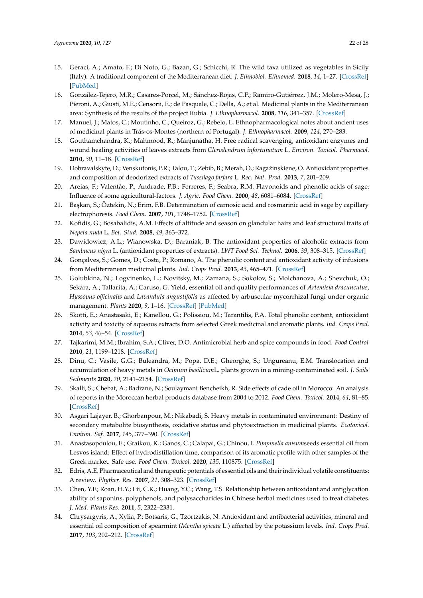- 15. Geraci, A.; Amato, F.; Di Noto, G.; Bazan, G.; Schicchi, R. The wild taxa utilized as vegetables in Sicily (Italy): A traditional component of the Mediterranean diet. *J. Ethnobiol. Ethnomed.* **2018**, *14*, 1–27. [\[CrossRef\]](http://dx.doi.org/10.1186/s13002-018-0215-x) [\[PubMed\]](http://www.ncbi.nlm.nih.gov/pubmed/29444678)
- 16. González-Tejero, M.R.; Casares-Porcel, M.; Sánchez-Rojas, C.P.; Ramiro-Gutiérrez, J.M.; Molero-Mesa, J.; Pieroni, A.; Giusti, M.E.; Censorii, E.; de Pasquale, C.; Della, A.; et al. Medicinal plants in the Mediterranean area: Synthesis of the results of the project Rubia. *J. Ethnopharmacol.* **2008**, *116*, 341–357. [\[CrossRef\]](http://dx.doi.org/10.1016/j.jep.2007.11.045)
- <span id="page-21-0"></span>17. Manuel, J.; Matos, C.; Moutinho, C.; Queiroz, G.; Rebelo, L. Ethnopharmacological notes about ancient uses of medicinal plants in Trás-os-Montes (northern of Portugal). *J. Ethnopharmacol.* **2009**, *124*, 270–283.
- <span id="page-21-1"></span>18. Gouthamchandra, K.; Mahmood, R.; Manjunatha, H. Free radical scavenging, antioxidant enzymes and wound healing activities of leaves extracts from *Clerodendrum infortunatum* L. *Environ. Toxicol. Pharmacol.* **2010**, *30*, 11–18. [\[CrossRef\]](http://dx.doi.org/10.1016/j.etap.2010.03.005)
- <span id="page-21-2"></span>19. Dobravalskyte, D.; Venskutonis, P.R.; Talou, T.; Zebib, B.; Merah, O.; Ragažinskiene, O. Antioxidant properties and composition of deodorized extracts of *Tussilago farfara* L. *Rec. Nat. Prod.* **2013**, *7*, 201–209.
- 20. Areias, F.; Valentão, P.; Andrade, P.B.; Ferreres, F.; Seabra, R.M. Flavonoids and phenolic acids of sage: Influence of some agricultural-factors. *J. Agric. Food Chem.* **2000**, *48*, 6081–6084. [\[CrossRef\]](http://dx.doi.org/10.1021/jf000440+)
- <span id="page-21-3"></span>21. Başkan, S.; Öztekin, N.; Erim, F.B. Determination of carnosic acid and rosmarinic acid in sage by capillary electrophoresis. *Food Chem.* **2007**, *101*, 1748–1752. [\[CrossRef\]](http://dx.doi.org/10.1016/j.foodchem.2006.01.033)
- <span id="page-21-4"></span>22. Kofidis, G.; Bosabalidis, A.M. Effects of altitude and season on glandular hairs and leaf structural traits of *Nepeta nuda* L. *Bot. Stud.* **2008**, *49*, 363–372.
- <span id="page-21-5"></span>23. Dawidowicz, A.L.; Wianowska, D.; Baraniak, B. The antioxidant properties of alcoholic extracts from *Sambucus nigra* L. (antioxidant properties of extracts). *LWT Food Sci. Technol.* **2006**, *39*, 308–315. [\[CrossRef\]](http://dx.doi.org/10.1016/j.lwt.2005.01.005)
- <span id="page-21-6"></span>24. Gonçalves, S.; Gomes, D.; Costa, P.; Romano, A. The phenolic content and antioxidant activity of infusions from Mediterranean medicinal plants. *Ind. Crops Prod.* **2013**, *43*, 465–471. [\[CrossRef\]](http://dx.doi.org/10.1016/j.indcrop.2012.07.066)
- <span id="page-21-7"></span>25. Golubkina, N.; Logvinenko, L.; Novitsky, M.; Zamana, S.; Sokolov, S.; Molchanova, A.; Shevchuk, O.; Sekara, A.; Tallarita, A.; Caruso, G. Yield, essential oil and quality performances of *Artemisia dracunculus*, *Hyssopus o*ffi*cinalis* and *Lavandula angustifolia* as affected by arbuscular mycorrhizal fungi under organic management. *Plants* **2020**, *9*, 1–16. [\[CrossRef\]](http://dx.doi.org/10.3390/plants9030375) [\[PubMed\]](http://www.ncbi.nlm.nih.gov/pubmed/32197463)
- 26. Skotti, E.; Anastasaki, E.; Kanellou, G.; Polissiou, M.; Tarantilis, P.A. Total phenolic content, antioxidant activity and toxicity of aqueous extracts from selected Greek medicinal and aromatic plants. *Ind. Crops Prod.* **2014**, *53*, 46–54. [\[CrossRef\]](http://dx.doi.org/10.1016/j.indcrop.2013.12.013)
- 27. Tajkarimi, M.M.; Ibrahim, S.A.; Cliver, D.O. Antimicrobial herb and spice compounds in food. *Food Control* **2010**, *21*, 1199–1218. [\[CrossRef\]](http://dx.doi.org/10.1016/j.foodcont.2010.02.003)
- <span id="page-21-8"></span>28. Dinu, C.; Vasile, G.G.; Buleandra, M.; Popa, D.E.; Gheorghe, S.; Ungureanu, E.M. Translocation and accumulation of heavy metals in *Ocimum basilicum*L. plants grown in a mining-contaminated soil. *J. Soils Sediments* **2020**, *20*, 2141–2154. [\[CrossRef\]](http://dx.doi.org/10.1007/s11368-019-02550-w)
- <span id="page-21-9"></span>29. Skalli, S.; Chebat, A.; Badrane, N.; Soulaymani Bencheikh, R. Side effects of cade oil in Morocco: An analysis of reports in the Moroccan herbal products database from 2004 to 2012. *Food Chem. Toxicol.* **2014**, *64*, 81–85. [\[CrossRef\]](http://dx.doi.org/10.1016/j.fct.2013.11.009)
- 30. Asgari Lajayer, B.; Ghorbanpour, M.; Nikabadi, S. Heavy metals in contaminated environment: Destiny of secondary metabolite biosynthesis, oxidative status and phytoextraction in medicinal plants. *Ecotoxicol. Environ. Saf.* **2017**, *145*, 377–390. [\[CrossRef\]](http://dx.doi.org/10.1016/j.ecoenv.2017.07.035)
- <span id="page-21-10"></span>31. Anastasopoulou, E.; Graikou, K.; Ganos, C.; Calapai, G.; Chinou, I. *Pimpinella anisum*seeds essential oil from Lesvos island: Effect of hydrodistillation time, comparison of its aromatic profile with other samples of the Greek market. Safe use. *Food Chem. Toxicol.* **2020**, *135*, 110875. [\[CrossRef\]](http://dx.doi.org/10.1016/j.fct.2019.110875)
- <span id="page-21-11"></span>32. Edris, A.E. Pharmaceutical and therapeutic potentials of essential oils and their individual volatile constituents: A review. *Phyther. Res.* **2007**, *21*, 308–323. [\[CrossRef\]](http://dx.doi.org/10.1002/ptr.2072)
- <span id="page-21-12"></span>33. Chen, Y.F.; Roan, H.Y.; Lii, C.K.; Huang, Y.C.; Wang, T.S. Relationship between antioxidant and antiglycation ability of saponins, polyphenols, and polysaccharides in Chinese herbal medicines used to treat diabetes. *J. Med. Plants Res.* **2011**, *5*, 2322–2331.
- <span id="page-21-13"></span>34. Chrysargyris, A.; Xylia, P.; Botsaris, G.; Tzortzakis, N. Antioxidant and antibacterial activities, mineral and essential oil composition of spearmint (*Mentha spicata* L.) affected by the potassium levels. *Ind. Crops Prod.* **2017**, *103*, 202–212. [\[CrossRef\]](http://dx.doi.org/10.1016/j.indcrop.2017.04.010)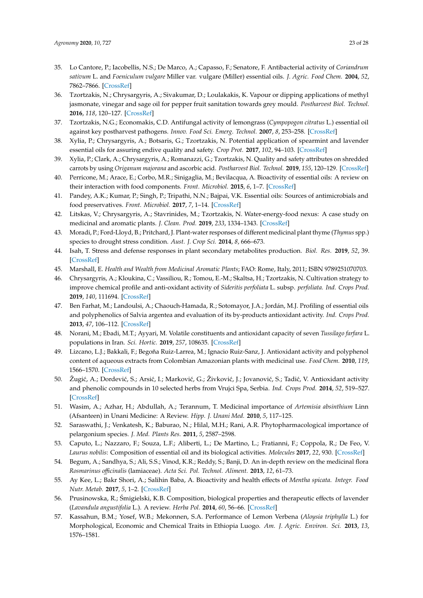- <span id="page-22-0"></span>35. Lo Cantore, P.; Iacobellis, N.S.; De Marco, A.; Capasso, F.; Senatore, F. Antibacterial activity of *Coriandrum sativum* L. and *Foeniculum vulgare* Miller var. vulgare (Miller) essential oils. *J. Agric. Food Chem.* **2004**, *52*, 7862–7866. [\[CrossRef\]](http://dx.doi.org/10.1021/jf0493122)
- <span id="page-22-2"></span>36. Tzortzakis, N.; Chrysargyris, A.; Sivakumar, D.; Loulakakis, K. Vapour or dipping applications of methyl jasmonate, vinegar and sage oil for pepper fruit sanitation towards grey mould. *Postharvest Biol. Technol.* **2016**, *118*, 120–127. [\[CrossRef\]](http://dx.doi.org/10.1016/j.postharvbio.2016.04.004)
- 37. Tzortzakis, N.G.; Economakis, C.D. Antifungal activity of lemongrass (*Cympopogon citratus* L.) essential oil against key postharvest pathogens. *Innov. Food Sci. Emerg. Technol.* **2007**, *8*, 253–258. [\[CrossRef\]](http://dx.doi.org/10.1016/j.ifset.2007.01.002)
- <span id="page-22-1"></span>38. Xylia, P.; Chrysargyris, A.; Botsaris, G.; Tzortzakis, N. Potential application of spearmint and lavender essential oils for assuring endive quality and safety. *Crop Prot.* **2017**, *102*, 94–103. [\[CrossRef\]](http://dx.doi.org/10.1016/j.cropro.2017.08.015)
- <span id="page-22-3"></span>39. Xylia, P.; Clark, A.; Chrysargyris, A.; Romanazzi, G.; Tzortzakis, N. Quality and safety attributes on shredded carrots by using *Origanum majorana* and ascorbic acid. *Postharvest Biol. Technol.* **2019**, *155*, 120–129. [\[CrossRef\]](http://dx.doi.org/10.1016/j.postharvbio.2019.05.015)
- <span id="page-22-4"></span>40. Perricone, M.; Arace, E.; Corbo, M.R.; Sinigaglia, M.; Bevilacqua, A. Bioactivity of essential oils: A review on their interaction with food components. *Front. Microbiol.* **2015**, *6*, 1–7. [\[CrossRef\]](http://dx.doi.org/10.3389/fmicb.2015.00076)
- <span id="page-22-5"></span>41. Pandey, A.K.; Kumar, P.; Singh, P.; Tripathi, N.N.; Bajpai, V.K. Essential oils: Sources of antimicrobials and food preservatives. *Front. Microbiol.* **2017**, *7*, 1–14. [\[CrossRef\]](http://dx.doi.org/10.3389/fmicb.2016.02161)
- <span id="page-22-6"></span>42. Litskas, V.; Chrysargyris, A.; Stavrinides, M.; Tzortzakis, N. Water-energy-food nexus: A case study on medicinal and aromatic plants. *J. Clean. Prod.* **2019**, *233*, 1334–1343. [\[CrossRef\]](http://dx.doi.org/10.1016/j.jclepro.2019.06.065)
- <span id="page-22-7"></span>43. Moradi, P.; Ford-Lloyd, B.; Pritchard, J. Plant-water responses of different medicinal plant thyme (*Thymus* spp.) species to drought stress condition. *Aust. J. Crop Sci.* **2014**, *8*, 666–673.
- <span id="page-22-8"></span>44. Isah, T. Stress and defense responses in plant secondary metabolites production. *Biol. Res.* **2019**, *52*, 39. [\[CrossRef\]](http://dx.doi.org/10.1186/s40659-019-0246-3)
- <span id="page-22-9"></span>45. Marshall, E. *Health and Wealth from Medicinal Aromatic Plants*; FAO: Rome, Italy, 2011; ISBN 9789251070703.
- <span id="page-22-10"></span>46. Chrysargyris, A.; Kloukina, C.; Vassiliou, R.; Tomou, E.-M.; Skaltsa, H.; Tzortzakis, N. Cultivation strategy to improve chemical profile and anti-oxidant activity of *Sideritis perfoliata* L. subsp. *perfoliata. Ind. Crops Prod.* **2019**, *140*, 111694. [\[CrossRef\]](http://dx.doi.org/10.1016/j.indcrop.2019.111694)
- <span id="page-22-11"></span>47. Ben Farhat, M.; Landoulsi, A.; Chaouch-Hamada, R.; Sotomayor, J.A.; Jordán, M.J. Profiling of essential oils and polyphenolics of Salvia argentea and evaluation of its by-products antioxidant activity. *Ind. Crops Prod.* **2013**, *47*, 106–112. [\[CrossRef\]](http://dx.doi.org/10.1016/j.indcrop.2013.02.007)
- <span id="page-22-21"></span>48. Norani, M.; Ebadi, M.T.; Ayyari, M. Volatile constituents and antioxidant capacity of seven *Tussilago farfara* L. populations in Iran. *Sci. Hortic.* **2019**, *257*, 108635. [\[CrossRef\]](http://dx.doi.org/10.1016/j.scienta.2019.108635)
- <span id="page-22-20"></span>49. Lizcano, L.J.; Bakkali, F.; Begoña Ruiz-Larrea, M.; Ignacio Ruiz-Sanz, J. Antioxidant activity and polyphenol content of aqueous extracts from Colombian Amazonian plants with medicinal use. *Food Chem.* **2010**, *119*, 1566–1570. [\[CrossRef\]](http://dx.doi.org/10.1016/j.foodchem.2009.09.043)
- <span id="page-22-12"></span>50. Žugić, A.; Dordević, S.; Arsić, I.; Marković, G.; Živković, J.; Jovanović, S.; Tadić, V. Antioxidant activity and phenolic compounds in 10 selected herbs from Vrujci Spa, Serbia. *Ind. Crops Prod.* **2014**, *52*, 519–527. [\[CrossRef\]](http://dx.doi.org/10.1016/j.indcrop.2013.11.027)
- <span id="page-22-13"></span>51. Wasim, A.; Azhar, H.; Abdullah, A.; Terannum, T. Medicinal importance of *Artemisia absinthium* Linn (Afsanteen) in Unani Medicine: A Review. *Hipp. J. Unani Med.* **2010**, *5*, 117–125.
- <span id="page-22-14"></span>52. Saraswathi, J.; Venkatesh, K.; Baburao, N.; Hilal, M.H.; Rani, A.R. Phytopharmacological importance of pelargonium species. *J. Med. Plants Res.* **2011**, *5*, 2587–2598.
- <span id="page-22-15"></span>53. Caputo, L.; Nazzaro, F.; Souza, L.F.; Aliberti, L.; De Martino, L.; Fratianni, F.; Coppola, R.; De Feo, V. *Laurus nobilis*: Composition of essential oil and its biological activities. *Molecules* **2017**, *22*, 930. [\[CrossRef\]](http://dx.doi.org/10.3390/molecules22060930)
- <span id="page-22-16"></span>54. Begum, A.; Sandhya, S.; Ali, S.S.; Vinod, K.R.; Reddy, S.; Banji, D. An in-depth review on the medicinal flora *Rosmarinus o*ffi*cinalis* (lamiaceae). *Acta Sci. Pol. Technol. Aliment.* **2013**, *12*, 61–73.
- <span id="page-22-17"></span>55. Ay Kee, L.; Bakr Shori, A.; Salihin Baba, A. Bioactivity and health effects of *Mentha spicata*. *Integr. Food Nutr. Metab.* **2017**, *5*, 1–2. [\[CrossRef\]](http://dx.doi.org/10.15761/IFNM.1000203)
- <span id="page-22-18"></span>56. Prusinowska, R.; Śmigielski, K.B. Composition, biological properties and therapeutic effects of lavender (*Lavandula angustifolia* L.). A review. *Herba Pol.* **2014**, *60*, 56–66. [\[CrossRef\]](http://dx.doi.org/10.2478/hepo-2014-0010)
- <span id="page-22-19"></span>57. Kassahun, B.M.; Yosef, W.B.; Mekonnen, S.A. Performance of Lemon Verbena (*Aloysia triphylla* L.) for Morphological, Economic and Chemical Traits in Ethiopia Luogo. *Am. J. Agric. Environ. Sci.* **2013**, *13*, 1576–1581.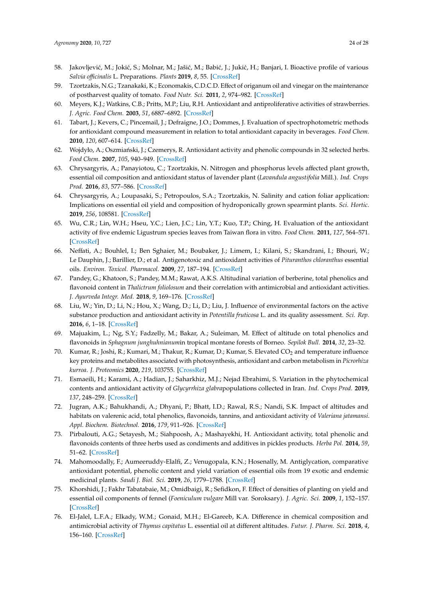- <span id="page-23-0"></span>58. Jakovljević, M.; Jokić, S.; Molnar, M.; Jašić, M.; Babić, J.; Jukić, H.; Banjari, I. Bioactive profile of various *Salvia o*ffi*cinalis* L. Preparations. *Plants* **2019**, *8*, 55. [\[CrossRef\]](http://dx.doi.org/10.3390/plants8030055)
- <span id="page-23-1"></span>59. Tzortzakis, N.G.; Tzanakaki, K.; Economakis, C.D.C.D. Effect of origanum oil and vinegar on the maintenance of postharvest quality of tomato. *Food Nutr. Sci.* **2011**, *2*, 974–982. [\[CrossRef\]](http://dx.doi.org/10.4236/fns.2011.29132)
- <span id="page-23-2"></span>60. Meyers, K.J.; Watkins, C.B.; Pritts, M.P.; Liu, R.H. Antioxidant and antiproliferative activities of strawberries. *J. Agric. Food Chem.* **2003**, *51*, 6887–6892. [\[CrossRef\]](http://dx.doi.org/10.1021/jf034506n)
- <span id="page-23-3"></span>61. Tabart, J.; Kevers, C.; Pincemail, J.; Defraigne, J.O.; Dommes, J. Evaluation of spectrophotometric methods for antioxidant compound measurement in relation to total antioxidant capacity in beverages. *Food Chem.* **2010**, *120*, 607–614. [\[CrossRef\]](http://dx.doi.org/10.1016/j.foodchem.2009.10.031)
- <span id="page-23-4"></span>62. Wojdyło, A.; Oszmiański, J.; Czemerys, R. Antioxidant activity and phenolic compounds in 32 selected herbs. *Food Chem.* **2007**, *105*, 940–949. [\[CrossRef\]](http://dx.doi.org/10.1016/j.foodchem.2007.04.038)
- <span id="page-23-5"></span>63. Chrysargyris, A.; Panayiotou, C.; Tzortzakis, N. Nitrogen and phosphorus levels affected plant growth, essential oil composition and antioxidant status of lavender plant (*Lavandula angustifolia* Mill.). *Ind. Crops Prod.* **2016**, *83*, 577–586. [\[CrossRef\]](http://dx.doi.org/10.1016/j.indcrop.2015.12.067)
- <span id="page-23-6"></span>64. Chrysargyris, A.; Loupasaki, S.; Petropoulos, S.A.; Tzortzakis, N. Salinity and cation foliar application: Implications on essential oil yield and composition of hydroponically grown spearmint plants. *Sci. Hortic.* **2019**, *256*, 108581. [\[CrossRef\]](http://dx.doi.org/10.1016/j.scienta.2019.108581)
- <span id="page-23-7"></span>65. Wu, C.R.; Lin, W.H.; Hseu, Y.C.; Lien, J.C.; Lin, Y.T.; Kuo, T.P.; Ching, H. Evaluation of the antioxidant activity of five endemic Ligustrum species leaves from Taiwan flora in vitro. *Food Chem.* **2011**, *127*, 564–571. [\[CrossRef\]](http://dx.doi.org/10.1016/j.foodchem.2011.01.041)
- <span id="page-23-8"></span>66. Neffati, A.; Bouhlel, I.; Ben Sghaier, M.; Boubaker, J.; Limem, I.; Kilani, S.; Skandrani, I.; Bhouri, W.; Le Dauphin, J.; Barillier, D.; et al. Antigenotoxic and antioxidant activities of *Pituranthos chloranthus* essential oils. *Environ. Toxicol. Pharmacol.* **2009**, *27*, 187–194. [\[CrossRef\]](http://dx.doi.org/10.1016/j.etap.2008.10.010)
- <span id="page-23-9"></span>67. Pandey, G.; Khatoon, S.; Pandey, M.M.; Rawat, A.K.S. Altitudinal variation of berberine, total phenolics and flavonoid content in *Thalictrum foliolosum* and their correlation with antimicrobial and antioxidant activities. *J. Ayurveda Integr. Med.* **2018**, *9*, 169–176. [\[CrossRef\]](http://dx.doi.org/10.1016/j.jaim.2017.02.010)
- <span id="page-23-11"></span>68. Liu, W.; Yin, D.; Li, N.; Hou, X.; Wang, D.; Li, D.; Liu, J. Influence of environmental factors on the active substance production and antioxidant activity in *Potentilla fruticosa* L. and its quality assessment. *Sci. Rep.* **2016**, *6*, 1–18. [\[CrossRef\]](http://dx.doi.org/10.1038/srep28591)
- <span id="page-23-10"></span>69. Majuakim, L.; Ng, S.Y.; Fadzelly, M.; Bakar, A.; Suleiman, M. Effect of altitude on total phenolics and flavonoids in *Sphagnum junghuhnianum*in tropical montane forests of Borneo. *Sepilok Bull.* **2014**, *32*, 23–32.
- <span id="page-23-12"></span>70. Kumar, R.; Joshi, R.; Kumari, M.; Thakur, R.; Kumar, D.; Kumar, S. Elevated CO<sub>2</sub> and temperature influence key proteins and metabolites associated with photosynthesis, antioxidant and carbon metabolism in *Picrorhiza kurroa*. *J. Proteomics* **2020**, *219*, 103755. [\[CrossRef\]](http://dx.doi.org/10.1016/j.jprot.2020.103755)
- 71. Esmaeili, H.; Karami, A.; Hadian, J.; Saharkhiz, M.J.; Nejad Ebrahimi, S. Variation in the phytochemical contents and antioxidant activity of *Glycyrrhiza glabra*populations collected in Iran. *Ind. Crops Prod.* **2019**, *137*, 248–259. [\[CrossRef\]](http://dx.doi.org/10.1016/j.indcrop.2019.05.034)
- <span id="page-23-13"></span>72. Jugran, A.K.; Bahukhandi, A.; Dhyani, P.; Bhatt, I.D.; Rawal, R.S.; Nandi, S.K. Impact of altitudes and habitats on valerenic acid, total phenolics, flavonoids, tannins, and antioxidant activity of *Valeriana jatamansi*. *Appl. Biochem. Biotechnol.* **2016**, *179*, 911–926. [\[CrossRef\]](http://dx.doi.org/10.1007/s12010-016-2039-2)
- <span id="page-23-14"></span>73. Pirbalouti, A.G.; Setayesh, M.; Siahpoosh, A.; Mashayekhi, H. Antioxidant activity, total phenolic and flavonoids contents of three herbs used as condiments and additives in pickles products. *Herba Pol.* **2014**, *59*, 51–62. [\[CrossRef\]](http://dx.doi.org/10.2478/hepo-2013-0016)
- <span id="page-23-15"></span>74. Mahomoodally, F.; Aumeeruddy-Elalfi, Z.; Venugopala, K.N.; Hosenally, M. Antiglycation, comparative antioxidant potential, phenolic content and yield variation of essential oils from 19 exotic and endemic medicinal plants. *Saudi J. Biol. Sci.* **2019**, *26*, 1779–1788. [\[CrossRef\]](http://dx.doi.org/10.1016/j.sjbs.2018.05.002)
- <span id="page-23-16"></span>75. Khorshidi, J.; Fakhr Tabatabaie, M.; Omidbaigi, R.; Sefidkon, F. Effect of densities of planting on yield and essential oil components of fennel (*Foeniculum vulgare* Mill var. Soroksary). *J. Agric. Sci.* **2009**, *1*, 152–157. [\[CrossRef\]](http://dx.doi.org/10.5539/jas.v1n1p152)
- <span id="page-23-17"></span>76. El-Jalel, L.F.A.; Elkady, W.M.; Gonaid, M.H.; El-Gareeb, K.A. Difference in chemical composition and antimicrobial activity of *Thymus capitatus* L. essential oil at different altitudes. *Futur. J. Pharm. Sci.* **2018**, *4*, 156–160. [\[CrossRef\]](http://dx.doi.org/10.1016/j.fjps.2017.12.004)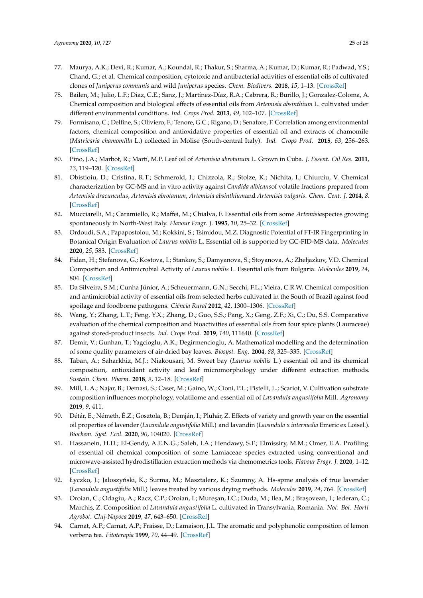- <span id="page-24-0"></span>77. Maurya, A.K.; Devi, R.; Kumar, A.; Koundal, R.; Thakur, S.; Sharma, A.; Kumar, D.; Kumar, R.; Padwad, Y.S.; Chand, G.; et al. Chemical composition, cytotoxic and antibacterial activities of essential oils of cultivated clones of *Juniperus communis* and wild *Juniperus* species. *Chem. Biodivers.* **2018**, *15*, 1–13. [\[CrossRef\]](http://dx.doi.org/10.1002/cbdv.201800183)
- <span id="page-24-1"></span>78. Bailen, M.; Julio, L.F.; Diaz, C.E.; Sanz, J.; Martínez-Díaz, R.A.; Cabrera, R.; Burillo, J.; Gonzalez-Coloma, A. Chemical composition and biological effects of essential oils from *Artemisia absinthium* L. cultivated under different environmental conditions. *Ind. Crops Prod.* **2013**, *49*, 102–107. [\[CrossRef\]](http://dx.doi.org/10.1016/j.indcrop.2013.04.055)
- <span id="page-24-2"></span>79. Formisano, C.; Delfine, S.; Oliviero, F.; Tenore, G.C.; Rigano, D.; Senatore, F. Correlation among environmental factors, chemical composition and antioxidative properties of essential oil and extracts of chamomile (*Matricaria chamomilla* L.) collected in Molise (South-central Italy). *Ind. Crops Prod.* **2015**, *63*, 256–263. [\[CrossRef\]](http://dx.doi.org/10.1016/j.indcrop.2014.09.042)
- <span id="page-24-3"></span>80. Pino, J.A.; Marbot, R.; Martí, M.P. Leaf oil of *Artemisia abrotanum* L. Grown in Cuba. *J. Essent. Oil Res.* **2011**, *23*, 119–120. [\[CrossRef\]](http://dx.doi.org/10.1080/10412905.2011.9700438)
- <span id="page-24-4"></span>81. Obistioiu, D.; Cristina, R.T.; Schmerold, I.; Chizzola, R.; Stolze, K.; Nichita, I.; Chiurciu, V. Chemical characterization by GC-MS and in vitro activity against *Candida albicans*of volatile fractions prepared from *Artemisia dracunculus*, *Artemisia abrotanum*, *Artemisia absinthium*and *Artemisia vulgaris*. *Chem. Cent. J.* **2014**, *8*. [\[CrossRef\]](http://dx.doi.org/10.1186/1752-153X-8-6)
- <span id="page-24-5"></span>82. Mucciarelli, M.; Caramiello, R.; Maffei, M.; Chialva, F. Essential oils from some *Artemisia*species growing spontaneously in North-West Italy. *Flavour Fragr. J.* **1995**, *10*, 25–32. [\[CrossRef\]](http://dx.doi.org/10.1002/ffj.2730100105)
- <span id="page-24-6"></span>83. Ordoudi, S.A.; Papapostolou, M.; Kokkini, S.; Tsimidou, M.Z. Diagnostic Potential of FT-IR Fingerprinting in Botanical Origin Evaluation of *Laurus nobilis* L. Essential oil is supported by GC-FID-MS data. *Molecules* **2020**, *25*, 583. [\[CrossRef\]](http://dx.doi.org/10.3390/molecules25030583)
- <span id="page-24-7"></span>84. Fidan, H.; Stefanova, G.; Kostova, I.; Stankov, S.; Damyanova, S.; Stoyanova, A.; Zheljazkov, V.D. Chemical Composition and Antimicrobial Activity of *Laurus nobilis* L. Essential oils from Bulgaria. *Molecules* **2019**, *24*, 804. [\[CrossRef\]](http://dx.doi.org/10.3390/molecules24040804)
- <span id="page-24-8"></span>85. Da Silveira, S.M.; Cunha Júnior, A.; Scheuermann, G.N.; Secchi, F.L.; Vieira, C.R.W. Chemical composition and antimicrobial activity of essential oils from selected herbs cultivated in the South of Brazil against food spoilage and foodborne pathogens. *Ciência Rural* **2012**, *42*, 1300–1306. [\[CrossRef\]](http://dx.doi.org/10.1590/S0103-84782012000700026)
- <span id="page-24-9"></span>86. Wang, Y.; Zhang, L.T.; Feng, Y.X.; Zhang, D.; Guo, S.S.; Pang, X.; Geng, Z.F.; Xi, C.; Du, S.S. Comparative evaluation of the chemical composition and bioactivities of essential oils from four spice plants (Lauraceae) against stored-product insects. *Ind. Crops Prod.* **2019**, *140*, 111640. [\[CrossRef\]](http://dx.doi.org/10.1016/j.indcrop.2019.111640)
- <span id="page-24-10"></span>87. Demir, V.; Gunhan, T.; Yagcioglu, A.K.; Degirmencioglu, A. Mathematical modelling and the determination of some quality parameters of air-dried bay leaves. *Biosyst. Eng.* **2004**, *88*, 325–335. [\[CrossRef\]](http://dx.doi.org/10.1016/j.biosystemseng.2004.04.005)
- <span id="page-24-11"></span>88. Taban, A.; Saharkhiz, M.J.; Niakousari, M. Sweet bay (*Laurus nobilis* L.) essential oil and its chemical composition, antioxidant activity and leaf micromorphology under different extraction methods. *Sustain. Chem. Pharm.* **2018**, *9*, 12–18. [\[CrossRef\]](http://dx.doi.org/10.1016/j.scp.2018.05.001)
- <span id="page-24-12"></span>89. Mill, L.A.; Najar, B.; Demasi, S.; Caser, M.; Gaino, W.; Cioni, P.L.; Pistelli, L.; Scariot, V. Cultivation substrate composition influences morphology, volatilome and essential oil of *Lavandula angustifolia* Mill. *Agronomy* **2019**, *9*, 411.
- <span id="page-24-13"></span>90. Détár, E.; Németh, É.Z.; Gosztola, B.; Demján, I.; Pluhár, Z. Effects of variety and growth year on the essential oil properties of lavender (*Lavandula angustifolia* Mill.) and lavandin (*Lavandula* x *intermedia* Emeric ex Loisel.). *Biochem. Syst. Ecol.* **2020**, *90*, 104020. [\[CrossRef\]](http://dx.doi.org/10.1016/j.bse.2020.104020)
- <span id="page-24-14"></span>91. Hassanein, H.D.; El-Gendy, A.E.N.G.; Saleh, I.A.; Hendawy, S.F.; Elmissiry, M.M.; Omer, E.A. Profiling of essential oil chemical composition of some Lamiaceae species extracted using conventional and microwave-assisted hydrodistillation extraction methods via chemometrics tools. *Flavour Fragr. J.* **2020**, 1–12. [\[CrossRef\]](http://dx.doi.org/10.1002/ffj.3566)
- <span id="page-24-15"></span>92. Łyczko, J.; Jałoszyński, K.; Surma, M.; Masztalerz, K.; Szumny, A. Hs-spme analysis of true lavender (*Lavandula angustifolia* Mill.) leaves treated by various drying methods. *Molecules* **2019**, *24*, 764. [\[CrossRef\]](http://dx.doi.org/10.3390/molecules24040764)
- <span id="page-24-16"></span>93. Oroian, C.; Odagiu, A.; Racz, C.P.; Oroian, I.; Mureşan, I.C.; Duda, M.; Ilea, M.; Braşovean, I.; Iederan, C.; Marchi¸s, Z. Composition of *Lavandula angustifolia* L. cultivated in Transylvania, Romania. *Not. Bot. Horti Agrobot. Cluj-Napoca* **2019**, *47*, 643–650. [\[CrossRef\]](http://dx.doi.org/10.15835/nbha47311565)
- <span id="page-24-17"></span>94. Carnat, A.P.; Carnat, A.P.; Fraisse, D.; Lamaison, J.L. The aromatic and polyphenolic composition of lemon verbena tea. *Fitoterapia* **1999**, *70*, 44–49. [\[CrossRef\]](http://dx.doi.org/10.1016/S0367-326X(98)00016-1)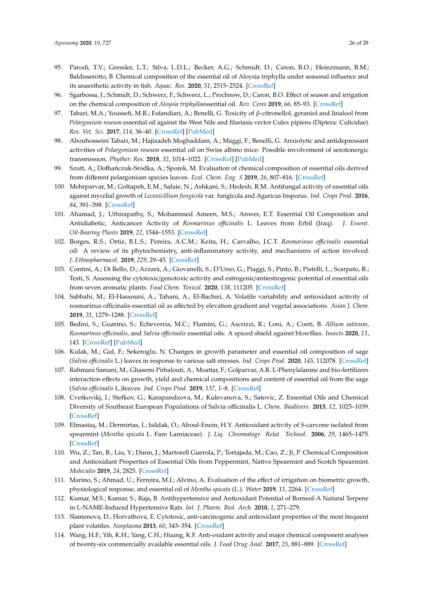- <span id="page-25-0"></span>95. Parodi, T.V.; Gressler, L.T.; Silva, L.D.L.; Becker, A.G.; Schmidt, D.; Caron, B.O.; Heinzmann, B.M.; Baldisserotto, B. Chemical composition of the essential oil of Aloysia triphylla under seasonal influence and its anaesthetic activity in fish. *Aquac. Res.* **2020**, *51*, 2515–2524. [\[CrossRef\]](http://dx.doi.org/10.1111/are.14594)
- <span id="page-25-1"></span>96. Sgarbossa, J.; Schmidt, D.; Schwerz, F.; Schwerz, L.; Prochnow, D.; Caron, B.O. Effect of season and irrigation on the chemical composition of *Aloysia triphylla*essential oil. *Rev. Ceres* **2019**, *66*, 85–93. [\[CrossRef\]](http://dx.doi.org/10.1590/0034-737x201966020002)
- <span id="page-25-2"></span>97. Tabari, M.A.; Youssefi, M.R.; Esfandiari, A.; Benelli, G. Toxicity of β-citronellol, geraniol and linalool from *Pelargonium roseum* essential oil against the West Nile and filariasis vector Culex pipiens (Diptera: Culicidae). *Res. Vet. Sci.* **2017**, *114*, 36–40. [\[CrossRef\]](http://dx.doi.org/10.1016/j.rvsc.2017.03.001) [\[PubMed\]](http://www.ncbi.nlm.nih.gov/pubmed/28297637)
- 98. Abouhosseini Tabari, M.; Hajizadeh Moghaddam, A.; Maggi, F.; Benelli, G. Anxiolytic and antidepressant activities of *Pelargonium roseum* essential oil on Swiss albino mice: Possible involvement of serotonergic transmission. *Phyther. Res.* **2018**, *32*, 1014–1022. [\[CrossRef\]](http://dx.doi.org/10.1002/ptr.6038) [\[PubMed\]](http://www.ncbi.nlm.nih.gov/pubmed/29468757)
- 99. Szutt, A.; Dołhańczuk-Sródka, A.; Sporek, M. Evaluation of chemical composition of essential oils derived from different pelargonium species leaves. *Ecol. Chem. Eng. S* **2019**, *26*, 807–816. [\[CrossRef\]](http://dx.doi.org/10.1515/eces-2019-0057)
- <span id="page-25-3"></span>100. Mehrparvar, M.; Goltapeh, E.M.; Safaie, N.; Ashkani, S.; Hedesh, R.M. Antifungal activity of essential oils against mycelial growth of *Lecanicillium fungicola* var. fungicola and Agaricus bisporus. *Ind. Crops Prod.* **2016**, *84*, 391–398. [\[CrossRef\]](http://dx.doi.org/10.1016/j.indcrop.2016.02.012)
- <span id="page-25-4"></span>101. Ahamad, J.; Uthirapathy, S.; Mohammed Ameen, M.S.; Anwer, E.T. Essential Oil Composition and Antidiabetic, Anticancer Activity of *Rosmarinus o*ffi*cinalis* L. Leaves from Erbil (Iraq). *J. Essent. Oil-Bearing Plants* **2019**, *22*, 1544–1553. [\[CrossRef\]](http://dx.doi.org/10.1080/0972060X.2019.1689179)
- <span id="page-25-5"></span>102. Borges, R.S.; Ortiz, B.L.S.; Pereira, A.C.M.; Keita, H.; Carvalho, J.C.T. *Rosmarinus o*ffi*cinalis* essential oil: A review of its phytochemistry, anti-inflammatory activity, and mechanisms of action involved. *J. Ethnopharmacol.* **2019**, *229*, 29–45. [\[CrossRef\]](http://dx.doi.org/10.1016/j.jep.2018.09.038)
- <span id="page-25-6"></span>103. Contini, A.; Di Bello, D.; Azzarà, A.; Giovanelli, S.; D'Urso, G.; Piaggi, S.; Pinto, B.; Pistelli, L.; Scarpato, R.; Testi, S. Assessing the cytotoxic/genotoxic activity and estrogenic/antiestrogenic potential of essential oils from seven aromatic plants. *Food Chem. Toxicol.* **2020**, *138*, 111205. [\[CrossRef\]](http://dx.doi.org/10.1016/j.fct.2020.111205)
- <span id="page-25-7"></span>104. Sabbahi, M.; El-Hassouni, A.; Tahani, A.; El-Bachiri, A. Volatile variability and antioxidant activity of rosmarinus officinalis essential oil as affected by elevation gradient and vegetal associations. *Asian J. Chem.* **2019**, *31*, 1279–1288. [\[CrossRef\]](http://dx.doi.org/10.14233/ajchem.2019.21898)
- <span id="page-25-8"></span>105. Bedini, S.; Guarino, S.; Echeverria, M.C.; Flamini, G.; Ascrizzi, R.; Loni, A.; Conti, B. *Allium sativum, Rosmarinus o*ffi*cinalis*, and *Salvia o*ffi*cinalis* essential oils: A spiced shield against blowflies. *Insects* **2020**, *11*, 143. [\[CrossRef\]](http://dx.doi.org/10.3390/insects11030143) [\[PubMed\]](http://www.ncbi.nlm.nih.gov/pubmed/32106555)
- <span id="page-25-9"></span>106. Kulak, M.; Gul, F.; Sekeroglu, N. Changes in growth parameter and essential oil composition of sage (*Salvia o*ffi*cinalis* L.) leaves in response to various salt stresses. *Ind. Crops Prod.* **2020**, *145*, 112078. [\[CrossRef\]](http://dx.doi.org/10.1016/j.indcrop.2019.112078)
- <span id="page-25-10"></span>107. Rahmani Samani, M.; Ghasemi Pirbalouti, A.; Moattar, F.; Golparvar, A.R. L-Phenylalanine and bio-fertilizers interaction effects on growth, yield and chemical compositions and content of essential oil from the sage (*Salvia o*ffi*cinalis* L.)leaves. *Ind. Crops Prod.* **2019**, *137*, 1–8. [\[CrossRef\]](http://dx.doi.org/10.1016/j.indcrop.2019.05.019)
- <span id="page-25-11"></span>108. Cvetkovikj, I.; Stefkov, G.; Karapandzova, M.; Kulevanova, S.; Satovic, Z. Essential Oils and Chemical Diversity of Southeast European Populations of Salvia officinalis L. *Chem. Biodivers.* **2015**, *12*, 1025–1039. [\[CrossRef\]](http://dx.doi.org/10.1002/cbdv.201400273)
- <span id="page-25-12"></span>109. Elmastaş, M.; Dermirtas, I.; Isildak, O.; Aboul-Enein, H.Y. Antioxidant activity of S-carvone isolated from spearmint (*Mentha spicata* L. Fam Lamiaceae). *J. Liq. Chromatogr. Relat. Technol.* **2006**, *29*, 1465–1475. [\[CrossRef\]](http://dx.doi.org/10.1080/10826070600674893)
- <span id="page-25-13"></span>110. Wu, Z.; Tan, B.; Liu, Y.; Dunn, J.; Martorell Guerola, P.; Tortajada, M.; Cao, Z.; Ji, P. Chemical Composition and Antioxidant Properties of Essential Oils from Peppermint, Native Spearmint and Scotch Spearmint. *Molecules* **2019**, *24*, 2825. [\[CrossRef\]](http://dx.doi.org/10.3390/molecules24152825)
- <span id="page-25-14"></span>111. Marino, S.; Ahmad, U.; Ferreira, M.I.; Alvino, A. Evaluation of the effect of irrigation on biometric growth, physiological response, and essential oil of *Mentha spicata* (L.). *Water* **2019**, *11*, 2264. [\[CrossRef\]](http://dx.doi.org/10.3390/w11112264)
- <span id="page-25-15"></span>112. Kumar, M.S.; Kumar, S.; Raja, B. Antihypertensive and Antioxidant Potential of Borneol-A Natural Terpene in L-NAME-Induced Hypertensive Rats. *Int. J. Pharm. Biol. Arch.* **2010**, *1*, 271–279.
- <span id="page-25-16"></span>113. Slamenova, D.; Horvathova, E. Cytotoxic, anti-carcinogenic and antioxidant properties of the most frequent plant volatiles. *Neoplasma* **2013**, *60*, 343–354. [\[CrossRef\]](http://dx.doi.org/10.4149/neo_2013_046)
- <span id="page-25-17"></span>114. Wang, H.F.; Yih, K.H.; Yang, C.H.; Huang, K.F. Anti-oxidant activity and major chemical component analyses of twenty-six commercially available essential oils. *J. Food Drug Anal.* **2017**, *25*, 881–889. [\[CrossRef\]](http://dx.doi.org/10.1016/j.jfda.2017.05.007)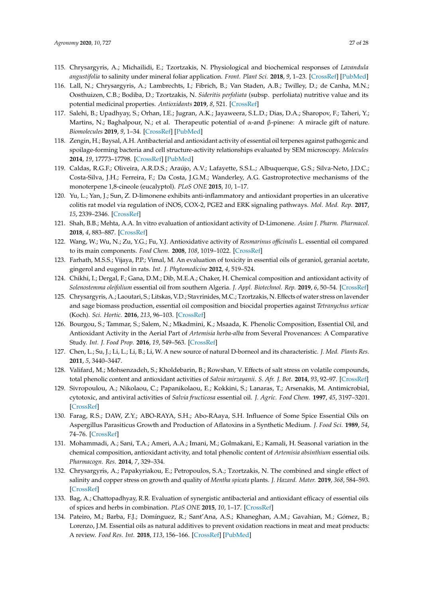- <span id="page-26-0"></span>115. Chrysargyris, A.; Michailidi, E.; Tzortzakis, N. Physiological and biochemical responses of *Lavandula angustifolia* to salinity under mineral foliar application. *Front. Plant Sci.* **2018**, *9*, 1–23. [\[CrossRef\]](http://dx.doi.org/10.3389/fpls.2018.00489) [\[PubMed\]](http://www.ncbi.nlm.nih.gov/pubmed/29731759)
- <span id="page-26-1"></span>116. Lall, N.; Chrysargyris, A.; Lambrechts, I.; Fibrich, B.; Van Staden, A.B.; Twilley, D.; de Canha, M.N.; Oosthuizen, C.B.; Bodiba, D.; Tzortzakis, N. *Sideritis perfoliata* (subsp. perfoliata) nutritive value and its potential medicinal properties. *Antioxidants* **2019**, *8*, 521. [\[CrossRef\]](http://dx.doi.org/10.3390/antiox8110521)
- <span id="page-26-2"></span>117. Salehi, B.; Upadhyay, S.; Orhan, I.E.; Jugran, A.K.; Jayaweera, S.L.D.; Dias, D.A.; Sharopov, F.; Taheri, Y.; Martins, N.; Baghalpour, N.; et al. Therapeutic potential of α-and β-pinene: A miracle gift of nature. *Biomolecules* **2019**, *9*, 1–34. [\[CrossRef\]](http://dx.doi.org/10.3390/biom9110738) [\[PubMed\]](http://www.ncbi.nlm.nih.gov/pubmed/31739596)
- <span id="page-26-3"></span>118. Zengin, H.; Baysal, A.H. Antibacterial and antioxidant activity of essential oil terpenes against pathogenic and spoilage-forming bacteria and cell structure-activity relationships evaluated by SEM microscopy. *Molecules* **2014**, *19*, 17773–17798. [\[CrossRef\]](http://dx.doi.org/10.3390/molecules191117773) [\[PubMed\]](http://www.ncbi.nlm.nih.gov/pubmed/25372394)
- <span id="page-26-4"></span>119. Caldas, R.G.F.; Oliveira, A.R.D.S.; Araújo, A.V.; Lafayette, S.S.L.; Albuquerque, G.S.; Silva-Neto, J.D.C.; Costa-Silva, J.H.; Ferreira, F.; Da Costa, J.G.M.; Wanderley, A.G. Gastroprotective mechanisms of the monoterpene 1,8-cineole (eucalyptol). *PLoS ONE* **2015**, *10*, 1–17.
- <span id="page-26-5"></span>120. Yu, L.; Yan, J.; Sun, Z. D-limonene exhibits anti-inflammatory and antioxidant properties in an ulcerative colitis rat model via regulation of iNOS, COX-2, PGE2 and ERK signaling pathways. *Mol. Med. Rep.* **2017**, *15*, 2339–2346. [\[CrossRef\]](http://dx.doi.org/10.3892/mmr.2017.6241)
- <span id="page-26-6"></span>121. Shah, B.B.; Mehta, A.A. In vitro evaluation of antioxidant activity of D-Limonene. *Asian J. Pharm. Pharmacol.* **2018**, *4*, 883–887. [\[CrossRef\]](http://dx.doi.org/10.31024/ajpp.2018.4.6.25)
- <span id="page-26-7"></span>122. Wang, W.; Wu, N.; Zu, Y.G.; Fu, Y.J. Antioxidative activity of *Rosmarinus o*ffi*cinalis* L. essential oil compared to its main components. *Food Chem.* **2008**, *108*, 1019–1022. [\[CrossRef\]](http://dx.doi.org/10.1016/j.foodchem.2007.11.046)
- <span id="page-26-8"></span>123. Farhath, M.S.S.; Vijaya, P.P.; Vimal, M. An evaluation of toxicity in essential oils of geraniol, geranial acetate, gingerol and eugenol in rats. *Int. J. Phytomedicine* **2012**, *4*, 519–524.
- <span id="page-26-9"></span>124. Chikhi, I.; Dergal, F.; Gana, D.M.; Dib, M.E.A.; Chaker, H. Chemical composition and antioxidant activity of *Solenostemma oleifolium* essential oil from southern Algeria. *J. Appl. Biotechnol. Rep.* **2019**, *6*, 50–54. [\[CrossRef\]](http://dx.doi.org/10.29252/JABR.06.02.02)
- <span id="page-26-10"></span>125. Chrysargyris, A.; Laoutari, S.; Litskas, V.D.; Stavrinides, M.C.; Tzortzakis, N. Effects of water stress on lavender and sage biomass production, essential oil composition and biocidal properties against *Tetranychus urticae* (Koch). *Sci. Hortic.* **2016**, *213*, 96–103. [\[CrossRef\]](http://dx.doi.org/10.1016/j.scienta.2016.10.024)
- <span id="page-26-11"></span>126. Bourgou, S.; Tammar, S.; Salem, N.; Mkadmini, K.; Msaada, K. Phenolic Composition, Essential Oil, and Antioxidant Activity in the Aerial Part of *Artemisia herba-alba* from Several Provenances: A Comparative Study. *Int. J. Food Prop.* **2016**, *19*, 549–563. [\[CrossRef\]](http://dx.doi.org/10.1080/10942912.2015.1040495)
- <span id="page-26-12"></span>127. Chen, L.; Su, J.; Li, L.; Li, B.; Li, W. A new source of natural D-borneol and its characteristic. *J. Med. Plants Res.* **2011**, *5*, 3440–3447.
- <span id="page-26-13"></span>128. Valifard, M.; Mohsenzadeh, S.; Kholdebarin, B.; Rowshan, V. Effects of salt stress on volatile compounds, total phenolic content and antioxidant activities of *Salvia mirzayanii*. *S. Afr. J. Bot.* **2014**, *93*, 92–97. [\[CrossRef\]](http://dx.doi.org/10.1016/j.sajb.2014.04.002)
- <span id="page-26-14"></span>129. Sivropoulou, A.; Nikolaou, C.; Papanikolaou, E.; Kokkini, S.; Lanaras, T.; Arsenakis, M. Antimicrobial, cytotoxic, and antiviral activities of *Salvia fructicosa* essential oil. *J. Agric. Food Chem.* **1997**, *45*, 3197–3201. [\[CrossRef\]](http://dx.doi.org/10.1021/jf970031m)
- <span id="page-26-15"></span>130. Farag, R.S.; DAW, Z.Y.; ABO-RAYA, S.H.; Abo-RAaya, S.H. Influence of Some Spice Essential Oils on Aspergillus Parasiticus Growth and Production of Aflatoxins in a Synthetic Medium. *J. Food Sci.* **1989**, *54*, 74–76. [\[CrossRef\]](http://dx.doi.org/10.1111/j.1365-2621.1989.tb08571.x)
- <span id="page-26-16"></span>131. Mohammadi, A.; Sani, T.A.; Ameri, A.A.; Imani, M.; Golmakani, E.; Kamali, H. Seasonal variation in the chemical composition, antioxidant activity, and total phenolic content of *Artemisia absinthium* essential oils. *Pharmacogn. Res.* **2014**, *7*, 329–334.
- <span id="page-26-17"></span>132. Chrysargyris, A.; Papakyriakou, E.; Petropoulos, S.A.; Tzortzakis, N. The combined and single effect of salinity and copper stress on growth and quality of *Mentha spicata* plants. *J. Hazard. Mater.* **2019**, *368*, 584–593. [\[CrossRef\]](http://dx.doi.org/10.1016/j.jhazmat.2019.01.058)
- <span id="page-26-18"></span>133. Bag, A.; Chattopadhyay, R.R. Evaluation of synergistic antibacterial and antioxidant efficacy of essential oils of spices and herbs in combination. *PLoS ONE* **2015**, *10*, 1–17. [\[CrossRef\]](http://dx.doi.org/10.1371/journal.pone.0131321)
- 134. Pateiro, M.; Barba, F.J.; Domínguez, R.; Sant'Ana, A.S.; Khaneghan, A.M.; Gavahian, M.; Gómez, B.; Lorenzo, J.M. Essential oils as natural additives to prevent oxidation reactions in meat and meat products: A review. *Food Res. Int.* **2018**, *113*, 156–166. [\[CrossRef\]](http://dx.doi.org/10.1016/j.foodres.2018.07.014) [\[PubMed\]](http://www.ncbi.nlm.nih.gov/pubmed/30195508)